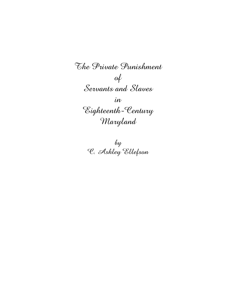*The Private Punishment of Servants and Slaves in Eighteenth-Century Maryland*

> *by C. Ashley Ellefson*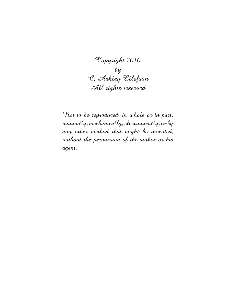*Copyright 2010 by C. Ashley Ellefson All rights reserved*

*Not to be reproduced, in whole or in part, manually, mechanically, electronically, or by any other method that might be invented, without the permission of the author or his agent.*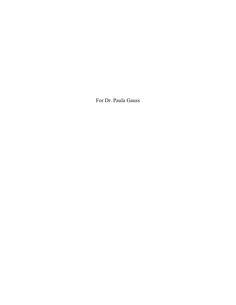For Dr. Paula Gauss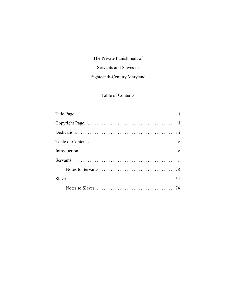## The Private Punishment of

### Servants and Slaves in

## Eighteenth-Century Maryland

## Table of Contents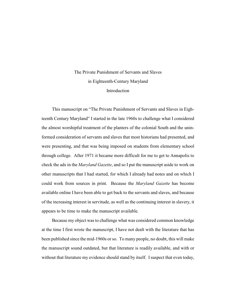# The Private Punishment of Servants and Slaves in Eighteenth-Century Maryland Introduction

This manuscript on "The Private Punishment of Servants and Slaves in Eighteenth Century Maryland" I started in the late 1960s to challenge what I considered the almost worshipful treatment of the planters of the colonial South and the uninformed consideration of servants and slaves that most historians had presented, and were presenting, and that was being imposed on students from elementary school through college. After 1971 it became more difficult for me to get to Annapolis to check the ads in the *Maryland Gazette*, and so I put the manuscript aside to work on other manuscripts that I had started, for which I already had notes and on which I could work from sources in print. Because the *Maryland Gazette* has become available online I have been able to get back to the servants and slaves, and because of the increasing interest in servitude, as well as the continuing interest in slavery, it appears to be time to make the manuscript available.

Because my object was to challenge what was considered common knowledge at the time I first wrote the manuscript, I have not dealt with the literature that has been published since the mid-1960s or so. To many people, no doubt, this will make the manuscript sound outdated, but that literature is readily available, and with or without that literature my evidence should stand by itself. I suspect that even today,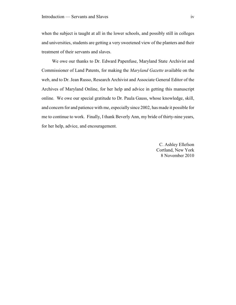when the subject is taught at all in the lower schools, and possibly still in colleges and universities, students are getting a very sweetened view of the planters and their treatment of their servants and slaves.

We owe our thanks to Dr. Edward Papenfuse, Maryland State Archivist and Commissioner of Land Patents, for making the *Maryland Gazette* available on the web, and to Dr. Jean Russo, Research Archivist and Associate General Editor of the Archives of Maryland Online, for her help and advice in getting this manuscript online. We owe our special gratitude to Dr. Paula Gauss, whose knowledge, skill, and concern for and patience with me, especially since 2002, has made it possible for me to continue to work. Finally, I thank Beverly Ann, my bride of thirty-nine years, for her help, advice, and encouragement.

> C. Ashley Ellefson Cortland, New York 8 November 2010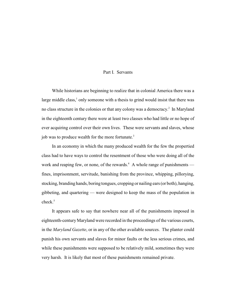#### Part I. Servants

While historians are beginning to realize that in colonial America there was a large middle class, $<sup>1</sup>$  only someone with a thesis to grind would insist that there was</sup> no class structure in the colonies or that any colony was a democracy.<sup>2</sup> In Maryland in the eighteenth century there were at least two classes who had little or no hope of ever acquiring control over their own lives. These were servants and slaves, whose job was to produce wealth for the more fortunate.<sup>3</sup>

In an economy in which the many produced wealth for the few the propertied class had to have ways to control the resentment of those who were doing all of the work and reaping few, or none, of the rewards.<sup>4</sup> A whole range of punishments fines, imprisonment, servitude, banishing from the province, whipping, pillorying, stocking, branding hands, boring tongues, cropping or nailing ears (or both), hanging, gibbeting, and quartering — were designed to keep the mass of the population in check.<sup>5</sup>

It appears safe to say that nowhere near all of the punishments imposed in eighteenth-century Maryland were recorded in the proceedings of the various courts, in the *Maryland Gazette*, or in any of the other available sources. The planter could punish his own servants and slaves for minor faults or the less serious crimes, and while these punishments were supposed to be relatively mild, sometimes they were very harsh. It is likely that most of these punishments remained private.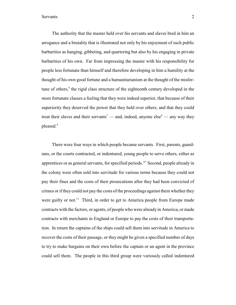The authority that the master held over his servants and slaves bred in him an arrogance and a brutality that is illustrated not only by his enjoyment of such public barbarities as hanging, gibbeting, and quartering but also by his engaging in private barbarities of his own. Far from impressing the master with his responsibility for people less fortunate than himself and therefore developing in him a humility at the thought of his own good fortune and a humanitarianism at the thought of the misfortune of others, $6$  the rigid class structure of the eighteenth century developed in the more fortunate classes a feeling that they were indeed superior, that because of their superiority they deserved the power that they held over others, and that they could treat their slaves and their servants<sup>7</sup> — and, indeed, anyone else<sup>8</sup> — any way they pleased.<sup>9</sup>

There were four ways in which people became servants. First, parents, guardians, or the courts contracted, or indentured, young people to serve others, either as apprentices or as general servants, for specified periods.<sup>10</sup> Second, people already in the colony were often sold into servitude for various terms because they could not pay their fines and the costs of their prosecutions after they had been convicted of crimes or if they could not pay the costs of the proceedings against them whether they were guilty or not.<sup>11</sup> Third, in order to get to America people from Europe made contracts with the factors, or agents, of people who were already in America, or made contracts with merchants in England or Europe to pay the costs of their transportation. In return the captains of the ships could sell them into servitude in America to recover the costs of their passage, or they might be given a specified number of days to try to make bargains on their own before the captain or an agent in the province could sell them. The people in this third group were variously called indentured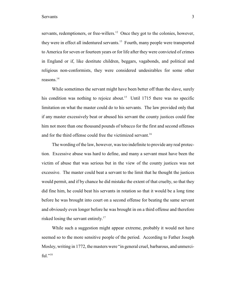servants, redemptioners, or free-willers. $12$  Once they got to the colonies, however, they were in effect all indentured servants.<sup>13</sup> Fourth, many people were transported to America for seven or fourteen years or for life after they were convicted of crimes in England or if, like destitute children, beggars, vagabonds, and political and religious non-conformists, they were considered undesirables for some other reasons. 14

While sometimes the servant might have been better off than the slave, surely his condition was nothing to rejoice about.<sup>15</sup> Until 1715 there was no specific limitation on what the master could do to his servants. The law provided only that if any master excessively beat or abused his servant the county justices could fine him not more than one thousand pounds of tobacco for the first and second offenses and for the third offense could free the victimized servant.<sup>16</sup>

The wording of the law, however, was too indefinite to provide any real protection. Excessive abuse was hard to define, and many a servant must have been the victim of abuse that was serious but in the view of the county justices was not excessive. The master could beat a servant to the limit that he thought the justices would permit, and if by chance he did mistake the extent of that cruelty, so that they did fine him, he could beat his servants in rotation so that it would be a long time before he was brought into court on a second offense for beating the same servant and obviously even longer before he was brought in on a third offense and therefore risked losing the servant entirely.<sup>17</sup>

While such a suggestion might appear extreme, probably it would not have seemed so to the more sensitive people of the period. According to Father Joseph Mosley, writing in 1772, the masters were "in general cruel, barbarous, and unmerciful."<sup>18</sup>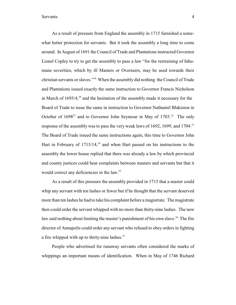As a result of pressure from England the assembly in 1715 furnished a somewhat better protection for servants. But it took the assembly a long time to come around. In August of 1691 the Council of Trade and Plantations instructed Governor Lionel Copley to try to get the assembly to pass a law "for the restraining of Inhumane severities, which by ill Masters or Overseers, may be used towards their christian servants or slaves."<sup>19</sup> When the assembly did nothing the Council of Trade and Plantations issued exactly the same instruction to Governor Francis Nicholson in March of  $1693/4$ ,<sup>20</sup> and the hesitation of the assembly made it necessary for the Board of Trade to issue the same in instruction to Governor Nathaniel Blakiston in October of  $1698<sup>21</sup>$  and to Governor John Seymour in May of  $1703<sup>22</sup>$ . The only response of the assembly was to pass the very weak laws of 1692, 1699, and 1704.<sup>23</sup> The Board of Trade issued the same instructions again, this time to Governor John Hart in February of  $1713/14$ ,<sup>24</sup> and when Hart passed on his instructions to the assembly the lower house replied that there was already a law by which provincial and county justices could hear complaints between masters and servants but that it would correct any deficiencies in the law.<sup>25</sup>

As a result of this pressure the assembly provided in 1715 that a master could whip any servant with ten lashes or fewer but if he thought that the servant deserved more than ten lashes he had to take his complaint before a magistrate. The magistrate then could order the servant whipped with no more than thirty-nine lashes. The new law said nothing about limiting the master's punishment of his own slave. $^{26}$  The fire director of Annapolis could order any servant who refused to obey orders in fighting a fire whipped with up to thirty-nine lashes. $27$ 

People who advertised for runaway servants often considered the marks of whippings an important means of identification. When in May of 1746 Richard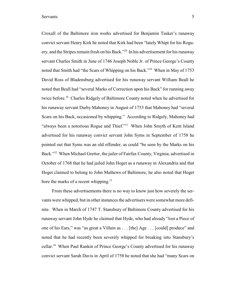Croxall of the Baltimore iron works advertised for Benjamin Tasker's runaway convict servant Henry Kirk he noted that Kirk had been "lately Whipt for his Roguery, and the Stripes remain fresh on his Back."<sup>28</sup> In his advertisement for his runaway servant Charles Smith in June of 1746 Joseph Noble Jr. of Prince George's County noted that Smith had "the Scars of Whipping on his Back."<sup>29</sup> When in May of 1753 David Ross of Bladensburg advertised for his runaway servant William Beall he noted that Beall had "several Marks of Correction upon his Back" for running away twice before.<sup>30</sup> Charles Ridgely of Baltimore County noted when he advertised for his runaway servant Darby Mahoney in August of 1753 that Mahoney had "several Scars on his Back, occasioned by whipping." According to Ridgely, Mahoney had "always been a notorious Rogue and Thief."<sup>31</sup> When John Smyth of Kent Island advertised for his runaway convict servant John Syms in September of 1758 he pointed out that Syms was an old offender, as could "be seen by the Marks on his Back."<sup>32</sup> When Michael Gretter, the jailer of Fairfax County, Virginia, advertised in October of 1768 that he had jailed John Hoget as a runaway in Alexandria and that Hoget claimed to belong to John Mathews of Baltimore, he also noted that Hoget bore the marks of a recent whipping.<sup>33</sup>

From these advertisements there is no way to know just how severely the servants were whipped, but in other instances the advertisers were somewhat more definite. When in March of 1747 T. Stansbury of Baltimore County advertised for his runaway servant John Hyde he claimed that Hyde, who had already "lost a Piece of one of his Ears," was "as great a Villain as . . . [the] Age . . . [could] produce" and noted that he had recently been severely whipped for breaking into Stansbury's cellar.<sup>34</sup> When Paul Rankin of Prince George's County advertised for his runaway convict servant Sarah Davis in April of 1758 he noted that she had "many Scars on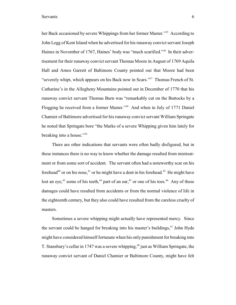her Back occasioned by severe Whippings from her former Master."<sup>35</sup> According to John Legg of Kent Island when he advertised for his runaway convict servant Joseph Haines in November of 1767, Haines' body was "much scarified."<sup>36</sup> In their advertisement for their runaway convict servant Thomas Moore in August of 1769 Aquila Hall and Amos Garrett of Baltimore County pointed out that Moore had been "severely whipt, which appears on his Back now in Scars."<sup>37</sup> Thomas French of St. Catharine's in the Allegheny Mountains pointed out in December of 1770 that his runaway convict servant Thomas Burn was "remarkably cut on the Buttocks by a Flogging he received from a former Master."<sup>38</sup> And when in July of 1771 Daniel Chamier of Baltimore advertised for hisrunaway convict servant William Springate he noted that Springate bore "the Marks of a severe Whipping given him lately for breaking into a house."<sup>39</sup>

There are other indications that servants were often badly disfigured, but in these instances there is no way to know whether the damage resulted from mistreatment or from some sort of accident. The servant often had a noteworthy scar on his forehead<sup>40</sup> or on his nose,<sup>41</sup> or he might have a dent in his forehead.<sup>42</sup> He might have lost an eye,<sup>43</sup> some of his teeth,<sup>44</sup> part of an ear,<sup>45</sup> or one of his toes.<sup>46</sup> Any of these damages could have resulted from accidents or from the normal violence of life in the eighteenth century, but they also could have resulted from the careless cruelty of masters.

Sometimes a severe whipping might actually have represented mercy. Since the servant could be hanged for breaking into his master's buildings,  $47$  John Hyde might have considered himself fortunate when his only punishment for breaking into T. Stansbury's cellar in 1747 was a severe whipping,<sup> $48$ </sup> just as William Springate, the runaway convict servant of Daniel Chamier or Baltimore County, might have felt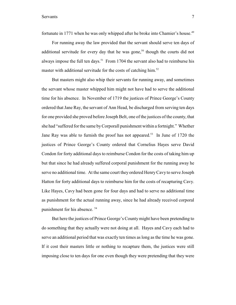fortunate in 1771 when he was only whipped after he broke into Chamier's house.<sup>49</sup>

For running away the law provided that the servant should serve ten days of additional servitude for every day that he was gone,<sup>50</sup> though the courts did not always impose the full ten days.<sup>51</sup> From 1704 the servant also had to reimburse his master with additional servitude for the costs of catching him.<sup>52</sup>

But masters might also whip their servants for running away, and sometimes the servant whose master whipped him might not have had to serve the additional time for his absence. In November of 1719 the justices of Prince George's County ordered that Jane Ray, the servant of Ann Head, be discharged from serving ten days for one provided she proved before Joseph Belt, one of the justices of the county, that she had "suffered for the same byCorporall punishment within a fortnight." Whether Jane Ray was able to furnish the proof has not appeared.<sup>53</sup> In June of 1720 the justices of Prince George's County ordered that Cornelius Hayes serve David Condon for forty additional days to reimburse Condon for the costs of taking him up but that since he had already suffered corporal punishment for the running away he serve no additional time. At the same court they ordered HenryCavy to serve Joseph Hatton for forty additional days to reimburse him for the costs of recapturing Cavy. Like Hayes, Cavy had been gone for four days and had to serve no additional time as punishment for the actual running away, since he had already received corporal punishment for his absence. <sup>54</sup>

But here the justices of Prince George's Countymight have been pretending to do something that they actually were not doing at all. Hayes and Cavy each had to serve an additional period that was exactly ten times as long as the time he was gone. If it cost their masters little or nothing to recapture them, the justices were still imposing close to ten days for one even though they were pretending that they were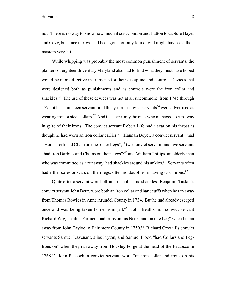not. There is no way to know how much it cost Condon and Hatton to capture Hayes and Cavy, but since the two had been gone for only four days it might have cost their masters very little.

While whipping was probably the most common punishment of servants, the planters of eighteenth-century Maryland also had to find what they must have hoped would be more effective instruments for their discipline and control. Devices that were designed both as punishments and as controls were the iron collar and shackles.<sup>55</sup> The use of these devices was not at all uncommon: from 1745 through 1775 at least nineteen servants and thirty-three convict servants<sup>56</sup> were advertised as wearing iron or steel collars.<sup>57</sup> And these are only the ones who managed to run away in spite of their irons. The convict servant Robert Life had a scar on his throat as though he had worn an iron collar earlier.<sup>58</sup> Hannah Boyer, a convict servant, "had a Horse Lock and Chain on one of her Legs";<sup>59</sup> two convict servants and two servants "had Iron Darbies and Chains on their Legs"; $60$  and William Philips, an elderly man who was committed as a runaway, had shackles around his ankles.<sup>61</sup> Servants often had either sores or scars on their legs, often no doubt from having worn irons.<sup>62</sup>

Quite often a servant wore both an iron collar and shackles. Benjamin Tasker's convict servant John Berry wore both an iron collar and handcuffs when he ran away from Thomas Rowles in Anne Arundel County in 1734. But he had already escaped once and was being taken home from jail.<sup>63</sup> John Beall's non-convict servant Richard Wiggan alias Farmer "had Irons on his Neck, and on one Leg" when he ran away from John Tayloe in Baltimore County in 1759.<sup>64</sup> Richard Croxall's convict servants Samuel Davenant, alias Pryton, and Samuel Flood "had Collars and Leg-Irons on" when they ran away from Hockley Forge at the head of the Patapsco in 1768.<sup>65</sup> John Peacock, a convict servant, wore "an iron collar and irons on his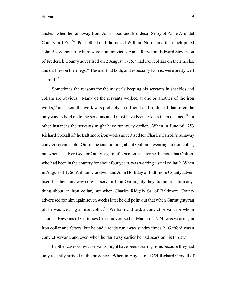ancles" when he ran away from John Hood and Mordecai Selby of Anne Arundel County in 1775.<sup>66</sup> Pot-bellied and flat-nosed William Norris and the much pitted John Bessy, both of whom were non-convict servants for whom Edward Stevenson of Frederick County advertised on 2 August 1775, "had iron collars on their necks, and darbies on their legs." Besides that both, and especially Norris, were pretty well scarred.<sup>67</sup>

Sometimes the reasons for the master's keeping his servants in shackles and collars are obvious. Many of the servants worked at one or another of the iron works, <sup>68</sup> and there the work was probably so difficult and so dismal that often the only way to hold on to the servants at all must have been to keep them chained.<sup>69</sup> In other instances the servants might have run away earlier. When in June of 1753 Richard Croxall of the Baltimore iron works advertised for Charles Carroll's runaway convict servant John Oulton he said nothing about Oulton's wearing an iron collar, but when he advertised for Oulton again fifteen months later he did note that Oulton, who had been in the country for about four years, was wearing a steel collar.<sup>70</sup> When in August of 1766 William Goodwin and John Holliday of Baltimore County advertised for their runaway convict servant John Garraughty they did not mention anything about an iron collar, but when Charles Ridgely Sr. of Baltimore County advertised for him again seven weeks later he did point out that when Garraughty ran off he was wearing an iron collar.<sup>71</sup> William Gafford, a convict servant for whom Thomas Hawkins of Curtesses Creek advertised in March of 1774, was wearing an iron collar and fetters, but he had already run away sundry times.<sup>72</sup> Gafford was a convict servant, and even when he ran away earlier he had scars on his throat.<sup>73</sup>

In other cases convict servants might have been wearing irons because they had only recently arrived in the province. When in August of 1754 Richard Croxall of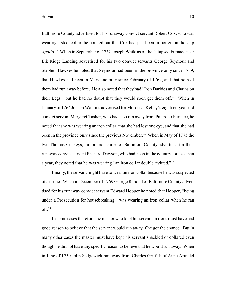Baltimore County advertised for his runaway convict servant Robert Cox, who was wearing a steel collar, he pointed out that Cox had just been imported on the ship *Apollo*.<sup>74</sup> When in September of 1762 Joseph Watkins of the Patapsco Furnace near Elk Ridge Landing advertised for his two convict servants George Seymour and Stephen Hawkes he noted that Seymour had been in the province only since 1759, that Hawkes had been in Maryland only since February of 1762, and that both of them had run away before. He also noted that they had "Iron Darbies and Chains on their Legs," but he had no doubt that they would soon get them off.<sup>75</sup> When in January of 1764 Joseph Watkins advertised for Mordecai Kelley's eighteen-year-old convict servant Margaret Tasker, who had also run away from Patapsco Furnace, he noted that she was wearing an iron collar, that she had lost one eye, and that she had been in the province only since the previous November.<sup>76</sup> When in May of 1775 the two Thomas Cockeys, junior and senior, of Baltimore County advertised for their runaway convict servant Richard Dawson, who had been in the country for less than a year, they noted that he was wearing "an iron collar double rivitted."<sup>77</sup>

Finally, the servant might have to wear an iron collar because he was suspected of a crime. When in December of 1769 George Randell of Baltimore County advertised for his runaway convict servant Edward Hooper he noted that Hooper, "being under a Prosecution for housebreaking," was wearing an iron collar when he ran off.<sup>78</sup>

In some cases therefore the master who kept his servant in irons must have had good reason to believe that the servant would run away if he got the chance. But in many other cases the master must have kept his servant shackled or collared even though he did not have any specific reason to believe that he would run away. When in June of 1750 John Sedgewick ran away from Charles Griffith of Anne Arundel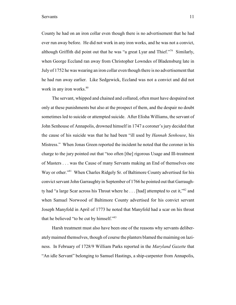County he had on an iron collar even though there is no advertisement that he had ever run away before. He did not work in any iron works, and he was not a convict, although Griffith did point out that he was "a great Lyar and Thief."<sup>79</sup> Similarly, when George Eccland ran away from Christopher Lowndes of Bladensburg late in July of 1752 he was wearing an iron collar even though there is no advertisement that he had run away earlier. Like Sedgewick, Eccland was not a convict and did not work in any iron works.<sup>80</sup>

The servant, whipped and chained and collared, often must have despaired not only at these punishments but also at the prospect of them, and the despair no doubt sometimes led to suicide or attempted suicide. After Elisha Williams, the servant of John Senhouse of Annapolis, drowned himself in 1747 a coroner's jury decided that the cause of his suicide was that he had been "ill used by *Hannah Senhouse*, his Mistress." When Jonas Green reported the incident he noted that the coroner in his charge to the jury pointed out that "too often [the] rigorous Usage and Ill-treatment of Masters . . . was the Cause of many Servants making an End of themselves one Way or other."<sup>81</sup> When Charles Ridgely Sr. of Baltimore County advertised for his convict servant John Garraughty in September of 1766 he pointed out that Garraughty had "a large Scar across his Throat where he  $\dots$  [had] attempted to cut it," $82$  and when Samuel Norwood of Baltimore County advertised for his convict servant Joseph Manyfold in April of 1773 he noted that Manyfold had a scar on his throat that he believed "to be cut by himself."<sup>83</sup>

Harsh treatment must also have been one of the reasons why servants deliberately maimed themselves, though of course the planters blamed the maiming on laziness. In February of 1728/9 William Parks reported in the *Maryland Gazette* that "An idle Servant" belonging to Samuel Hastings, a ship-carpenter from Annapolis,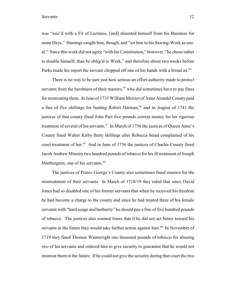was "seiz'd with a Fit of Laziness, [and] absented himself from his Business for some Days." Hastings caught him, though, and "set him to his Sawing-Work as usual." Since this work did not agree "with his Constitution," however, "he chose rather to disable himself, than be oblig'd to Work," and therefore about two weeks before Parks made his report the servant chopped off one of his hands with a broad ax.<sup>84</sup>

There is no way to be sure just how serious an effort authority made to protect servants from the harshness of their masters,  $85$  who did sometimes have to pay fines for mistreating them. In June of 1735 William Merriot of Anne Arundel County paid a fine of five shillings for beating Robert Harman,  $86$  and in August of 1741 the justices of that county fined John Parr five pounds current money for his rigorous treatment of several of his servants. $87$  In March of 1736 the justices of Queen Anne's County fined Walter Kirby thirty shillings after Rebecca Stead complained of his cruel treatment of her.<sup>88</sup> And in June of 1756 the justices of Charles County fined Jacob Andrew Minetry two hundred pounds of tobacco for his ill treatment of Joseph Marthington, one of his servants.<sup>89</sup>

The justices of Prince George's County also sometimes fined masters for the mistreatment of their servants. In March of 1718/19 they ruled that since David Jones had so disabled one of his former servants that when he received his freedom he had become a charge to the county and since he had treated three of his female servants with "hard usage and barbarity" he should pay a fine of five hundred pounds of tobacco. The justices also warned Jones that if he did not act better toward his servants in the future they would take further action against him.<sup>90</sup> In November of 1719 they fined Thomas Wainwright one thousand pounds of tobacco for abusing two of his servants and ordered him to give security to guarantee that he would not mistreat them in the future. If he could not give the security during that court the two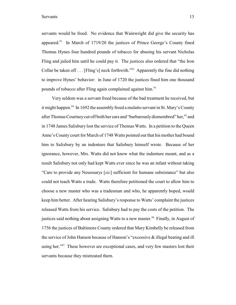servants would be freed. No evidence that Wainwright did give the security has appeared. $91$  In March of 1719/20 the justices of Prince George's County fined Thomas Hynes four hundred pounds of tobacco for abusing his servant Nicholas Fling and jailed him until he could pay it. The justices also ordered that "the Iron Collar be taken off . . . [Fling's] neck forthwith.<sup>"92</sup> Apparently the fine did nothing to improve Hynes' behavior: in June of 1720 the justices fined him one thousand pounds of tobacco after Fling again complained against him.<sup>93</sup>

Very seldom was a servant freed because of the bad treatment he received, but it might happen.<sup>94</sup> In 1692 the assembly freed a mulatto servant in St. Mary's County after Thomas Courtney cut off both her ears and "barbarously dismembred" her,  $95$  and in 1748 James Salisbury lost the service of Thomas Watts. In a petition to the Queen Anne's County court for March of 1748 Watts pointed out that his mother had bound him to Salisbury by an indenture that Salisbury himself wrote. Because of her ignorance, however, Mrs. Watts did not know what the indenture meant, and as a result Salisbury not only had kept Watts ever since he was an infant without taking "Care to provide any Nesessarys [*sic*] sufficient for humane subsistance" but also could not teach Watts a trade. Watts therefore petitioned the court to allow him to choose a new master who was a tradesman and who, he apparently hoped, would keep him better. After hearing Salisbury's response to Watts' complaint the justices released Watts from his service. Salisbury had to pay the costs of the petition. The justices said nothing about assigning Watts to a new master. <sup>96</sup> Finally, in August of 1756 the justices of Baltimore County ordered that Mary Kimbelly be released from the service of John Hanson because of Hanson's "excessive & illegal beating and ill using her."<sup> $97$ </sup> These however are exceptional cases, and very few masters lost their servants because they mistreated them.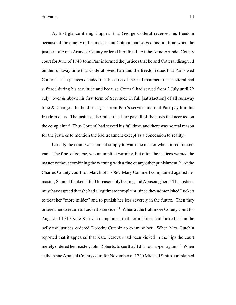At first glance it might appear that George Cotteral received his freedom because of the cruelty of his master, but Cotteral had served his full time when the justices of Anne Arundel County ordered him freed. At the Anne Arundel County court for June of 1740 John Parr informed the justices that he and Cotteral disagreed on the runaway time that Cotteral owed Parr and the freedom dues that Parr owed Cotteral. The justices decided that because of the bad treatment that Cotteral had suffered during his servitude and because Cotteral had served from 2 July until 22 July "over & above his first term of Servitude in full [satisfaction] of all runaway time & Charges" he be discharged from Parr's service and that Parr pay him his freedom dues. The justices also ruled that Parr pay all of the costs that accrued on the complaint.<sup>98</sup> Thus Cotteral had served his full time, and there was no real reason for the justices to mention the bad treatment except as a concession to reality.

Usually the court was content simply to warn the master who abused his servant. The fine, of course, was an implicit warning, but often the justices warned the master without combining the warning with a fine or any other punishment.<sup>99</sup> At the Charles County court for March of 1706/7 Mary Cammell complained against her master, Samuel Luckett, "for Unreasonably beating and Abuseing her." The justices must have agreed that she had a legitimate complaint, since they admonished Luckett to treat her "more milder" and to punish her less severely in the future. Then they ordered her to return to Luckett's service.<sup>100</sup> When at the Baltimore County court for August of 1719 Kate Kerevan complained that her mistress had kicked her in the belly the justices ordered Dorothy Cutchin to examine her. When Mrs. Cutchin reported that it appeared that Kate Kerevan had been kicked in the hips the court merely ordered her master, John Roberts, to see that it did not happen again.<sup>101</sup> When at the Anne Arundel County court for November of 1720 Michael Smith complained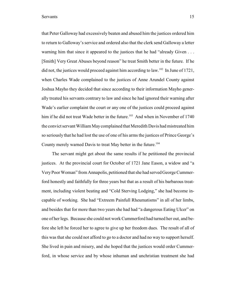that Peter Galloway had excessively beaten and abused him the justices ordered him to return to Galloway's service and ordered also that the clerk send Galloway a letter warning him that since it appeared to the justices that he had "already Given . . . [Smith] Very Great Abuses beyond reason" he treat Smith better in the future. If he did not, the justices would proceed against him according to law. <sup>102</sup> In June of 1721, when Charles Wade complained to the justices of Anne Arundel County against Joshua Mayho they decided that since according to their information Mayho generally treated his servants contrary to law and since he had ignored their warning after Wade's earlier complaint the court or any one of the justices could proceed against him if he did not treat Wade better in the future.<sup>103</sup> And when in November of 1740 the convict servant William May complained that Meredith Davis had mistreated him so seriously that he had lost the use of one of his arms the justices of Prince George's County merely warned Davis to treat May better in the future.<sup>104</sup>

The servant might get about the same results if he petitioned the provincial justices. At the provincial court for October of 1721 Jane Eason, a widow and "a Very Poor Woman" from Annapolis, petitioned that she had served George Cummerford honestly and faithfully for three years but that as a result of his barbarous treatment, including violent beating and "Cold Sterving Lodging," she had become incapable of working. She had "Extreem Painfull Rheumatisms" in all of her limbs, and besides that for more than two years she had had "a dangerous Eating Ulcer" on one of her legs. Because she could not work Cummerford had turned her out, and before she left he forced her to agree to give up her freedom dues. The result of all of this was that she could not afford to go to a doctor and had no way to support herself. She lived in pain and misery, and she hoped that the justices would order Cummerford, in whose service and by whose inhuman and unchristian treatment she had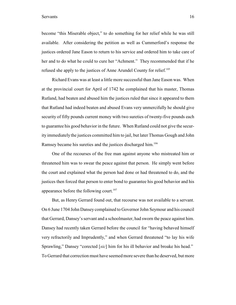become "this Miserable object," to do something for her relief while he was still available. After considering the petition as well as Cummerford's response the justices ordered Jane Eason to return to his service and ordered him to take care of her and to do what he could to cure her "Achment." They recommended that if he refused she apply to the justices of Anne Arundel County for relief.<sup>105</sup>

Richard Evans was at least a little more successful than Jane Eason was. When at the provincial court for April of 1742 he complained that his master, Thomas Rutland, had beaten and abused him the justices ruled that since it appeared to them that Rutland had indeed beaten and abused Evans very unmercifully he should give security of fifty pounds current money with two sureties of twenty-five pounds each to guarantee his good behavior in the future. When Rutland could not give the security immediately the justices committed him to jail, but later Thomas Gough and John Ramsey became his sureties and the justices discharged him.<sup>106</sup>

One of the recourses of the free man against anyone who mistreated him or threatened him was to swear the peace against that person. He simply went before the court and explained what the person had done or had threatened to do, and the justices then forced that person to enter bond to guarantee his good behavior and his appearance before the following court.<sup>107</sup>

But, as Henry Gerrard found out, that recourse was not available to a servant. On 6 June 1704 John Dansey complained to Governor John Seymour and his council that Gerrard, Dansey'sservant and a schoolmaster, had sworn the peace against him. Dansey had recently taken Gerrard before the council for "having behaved himself very refractorily and Imprudently," and when Gerrard threatened "to lay his wife Sprawling," Dansey "corected [*sic*] him for his ill behavior and broake his head." To Gerrard that correction must have seemed more severe than he deserved, but more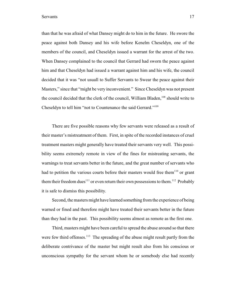than that he was afraid of what Dansey might do to him in the future. He swore the peace against both Dansey and his wife before Kenelm Cheseldyn, one of the members of the council, and Cheseldyn issued a warrant for the arrest of the two. When Dansey complained to the council that Gerrard had sworn the peace against him and that Cheseldyn had issued a warrant against him and his wife, the council decided that it was "not usuall to Suffer Servants to Swear the peace against their Masters," since that "might be very inconvenient." Since Cheseldyn was not present the council decided that the clerk of the council, William Bladen,  $^{108}$  should write to Cheseldyn to tell him "not to Countenance the said Gerrard."<sup>109</sup>

There are five possible reasons why few servants were released as a result of their master's mistreatment of them. First, in spite of the recorded instances of cruel treatment masters might generally have treated their servants very well. This possibility seems extremely remote in view of the fines for mistreating servants, the warnings to treat servants better in the future, and the great number of servants who had to petition the various courts before their masters would free them  $110$  or grant them their freedom dues<sup> $111$ </sup> or even return their own possessions to them. <sup>112</sup> Probably it is safe to dismiss this possibility.

Second, the masters might have learned something from the experience of being warned or fined and therefore might have treated their servants better in the future than they had in the past. This possibility seems almost as remote as the first one.

Third, masters might have been careful to spread the abuse around so that there were few third offenses.  $113$  The spreading of the abuse might result partly from the deliberate contrivance of the master but might result also from his conscious or unconscious sympathy for the servant whom he or somebody else had recently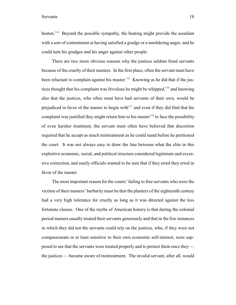beaten.<sup>114</sup> Beyond the possible sympathy, the beating might provide the assailant with a sort of contentment at having satisfied a grudge or a smoldering anger, and he could turn his grudges and his anger against other people.

There are two more obvious reasons why the justices seldom freed servants because of the cruelty of their masters. In the first place, often the servant must have been reluctant to complain against his master.<sup>115</sup> Knowing as he did that if the justices thought that his complaint was frivolous he might be whipped,  $116$  and knowing also that the justices, who often must have had servants of their own, would be prejudiced in favor of the master to begin with $117$  and even if they did find that his complaint was justified they might return him to his master  $118$  to face the possibility of even harsher treatment, the servant must often have believed that discretion required that he accept as much mistreatment as he could stand before he petitioned the court. It was not always easy to draw the line between what the elite in this exploitive economic, social, and political structure considered legitimate and excessive correction, and surely officials wanted to be sure that if they erred they erred in favor of the master.

The most important reason for the courts' failing to free servants who were the victims of their masters' barbarity must be that the planters of the eighteenth century had a very high tolerance for cruelty as long as it was directed against the less fortunate classes. One of the myths of American history is that during the colonial period masters usually treated their servants generously and that in the few instances in which they did not the servants could rely on the justices, who, if they were not compassionate or at least sensitive to their own economic self-interest, were supposed to see that the servants were treated properly and to protect them once they the justices — became aware of mistreatment. The invalid servant, after all, would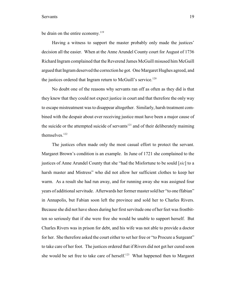be drain on the entire economy.<sup>119</sup>

Having a witness to support the master probably only made the justices' decision all the easier. When at the Anne Arundel County court for August of 1736 Richard Ingram complained that the Reverend James McGuill misused him McGuill argued that Ingram deserved the correction he got. One Margaret Hughes agreed, and the justices ordered that Ingram return to McGuill's service.<sup>120</sup>

No doubt one of the reasons why servants ran off as often as they did is that they knew that they could not expect justice in court and that therefore the only way to escape mistreatment was to disappear altogether. Similarly, harsh treatment combined with the despair about ever receiving justice must have been a major cause of the suicide or the attempted suicide of servants $121$  and of their deliberately maiming themselves.<sup>122</sup>

The justices often made only the most casual effort to protect the servant. Margaret Brown's condition is an example. In June of 1721 she complained to the justices of Anne Arundel County that she "had the Misfortune to be sould [*sic*] to a harsh master and Mistress" who did not allow her sufficient clothes to keep her warm. As a result she had run away, and for running away she was assigned four years of additional servitude. Afterwards her former master sold her "to one ffabian" in Annapolis, but Fabian soon left the province and sold her to Charles Rivers. Because she did not have shoes during her first servitude one of her feet was frostbitten so seriously that if she were free she would be unable to support herself. But Charles Rivers was in prison for debt, and his wife was not able to provide a doctor for her. She therefore asked the court either to set her free or "to Procure a Surgeant" to take care of her foot. The justices ordered that if Rivers did not get her cured soon she would be set free to take care of herself.<sup>123</sup> What happened then to Margaret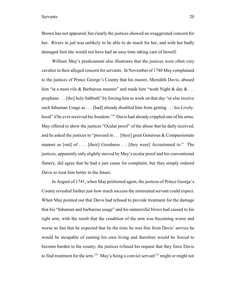Brown has not appeared, but clearly the justices showed no exaggerated concern for her. Rivers in jail was unlikely to be able to do much for her, and with her badly damaged foot she would not have had an easy time taking care of herself.

William May's predicament also illustrates that the justices were often very cavalier in their alleged concern for servants. In November of 1740 May complained to the justices of Prince George's County that his master, Meredith Davis, abused him "in a most vile & Barbarous manner" and made him "work Night & day  $\& \ldots$ prophane . . . [the] holy Sabbath" by forcing him to work on that day "or else receive such Inhuman Usage as . . . [had] already disabled him from getting . . . his Livelyhood" if he ever received his freedom.<sup>124</sup> Davis had already crippled one of his arms. May offered to show the justices "Ocular proof" of the abuse that he daily received, and he asked the justices to "proceed in . . . [their] great Generous & Compassionate manner as [out] of . . . [their] Goodness . .. [they were] Accustomed to." The justices, apparently only slightly moved by May's ocular proof and his conventional flattery, did agree that he had a just cause for complaint, but they simply ordered Davis to treat him better in the future.

In August of 1741, when May petitioned again, the justices of Prince George's County revealed further just how much success the mistreated servant could expect. When May pointed out that Davis had refused to provide treatment for the damage that his "Inhuman and barbarous usage" and his unmerciful blows had caused to his right arm, with the result that the condition of the arm was becoming worse and worse so fast that he expected that by the time he was free from Davis' service he would be incapable of earning his own living and therefore would be forced to become burden to the county, the justices refused his request that they force Davis to find treatment for the arm.<sup>125</sup> May's being a convict servant<sup>126</sup> might or might not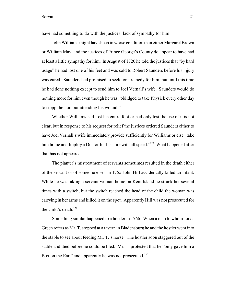have had something to do with the justices' lack of sympathy for him.

John Williams might have been in worse condition than either Margaret Brown or William May, and the justices of Prince George's County do appear to have had at least a little sympathy for him. In August of 1720 he told the justices that "by hard usage" he had lost one of his feet and was sold to Robert Saunders before his injury was cured. Saunders had promised to seek for a remedy for him, but until this time he had done nothing except to send him to Joel Vernall's wife. Saunders would do nothing more for him even though he was "oblidged to take Physick every other day to stopp the humour attending his wound."

Whether Williams had lost his entire foot or had only lost the use of it is not clear, but in response to his request for relief the justices ordered Saunders either to have Joel Vernall's wife immediately provide sufficiently for Williams or else "take him home and Imploy a Doctor for his cure with all speed." $127$  What happened after that has not appeared.

The planter's mistreatment of servants sometimes resulted in the death either of the servant or of someone else. In 1755 John Hill accidentally killed an infant. While he was taking a servant woman home on Kent Island he struck her several times with a switch, but the switch reached the head of the child the woman was carrying in her arms and killed it on the spot. Apparently Hill was not prosecuted for the child's death.<sup>128</sup>

Something similar happened to a hostler in 1766. When a man to whom Jonas Green refers as Mr. T. stopped at a tavern in Bladensburg he and the hostler went into the stable to see about feeding Mr. T.'s horse. The hostler soon staggered out of the stable and died before he could be bled. Mr. T. protested that he "only gave him a Box on the Ear," and apparently he was not prosecuted.<sup>129</sup>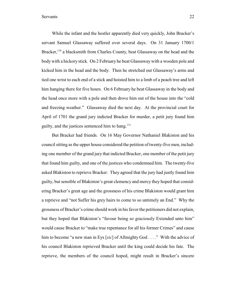While the infant and the hostler apparently died very quickly, John Bracker's servant Samuel Glassaway suffered over several days. On 31 January 1700/1 Bracker,  $^{130}$  a blacksmith from Charles County, beat Glassaway on the head and the body with a hickory stick. On 2 February he beat Glassaway with a wooden pole and kicked him in the head and the body. Then he stretched out Glassaway's arms and tied one wrist to each end of a stick and hoisted him to a limb of a peach tree and left him hanging there for five hours. On 6 February he beat Glassaway in the body and the head once more with a pole and then drove him out of the house into the "cold and freezing weather." Glassaway died the next day. At the provincial court for April of 1701 the grand jury indicted Bracker for murder, a petit jury found him guilty, and the justices sentenced him to hang. $131$ 

But Bracker had friends. On 16 May Governor Nathaniel Blakiston and his council sitting as the upper house considered the petition oftwenty-five men, including one member of the grand jury that indicted Bracker, one member of the petit jury that found him guilty, and one of the justices who condemned him. The twenty-five asked Blakiston to reprieve Bracker. They agreed that the jury had justly found him guilty, but sensible of Blakiston's great clemency and mercy they hoped that considering Bracker's great age and the grossness of his crime Blakiston would grant him a reprieve and "not Suffer his grey hairs to come to so untimely an End." Why the grossness of Bracker's crime should work in his favor the petitioners did not explain, but they hoped that Blakiston's "favour being so graciously Extended unto him" would cause Bracker to "make true repentance for all his former Crimes" and cause him to become "a new man in Eys [*sic*] of Allmighty God . . . ." With the advice of his council Blakiston reprieved Bracker until the king could decide his fate. The reprieve, the members of the council hoped, might result in Bracker's sincere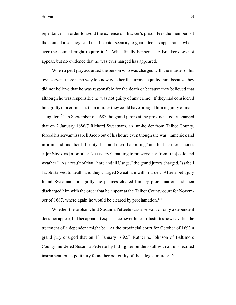repentance. In order to avoid the expense of Bracker's prison fees the members of the council also suggested that he enter security to guarantee his appearance whenever the council might require it. $^{132}$  What finally happened to Bracker does not appear, but no evidence that he was ever hanged has appeared.

When a petit jury acquitted the person who was charged with the murder of his own servant there is no way to know whether the jurors acquitted him because they did not believe that he was responsible for the death or because they believed that although he was responsible he was not guilty of any crime. If they had considered him guilty of a crime less than murder they could have brought him in guilty of manslaughter.<sup>133</sup> In September of 1687 the grand jurors at the provincial court charged that on 2 January 1686/7 Richard Sweatnam, an inn-holder from Talbot County, forced his servant Issabell Jacob out of his house even though she was "lame sick and infirme and und her Infirmity then and there Labouring" and had neither "shooes" [n]or Stockins [n]or other Necessary Cloathing to preserve her from [the] cold and weather." As a result of that "hard and ill Usage," the grand jurors charged, Issabell Jacob starved to death, and they charged Sweatnam with murder. After a petit jury found Sweatnam not guilty the justices cleared him by proclamation and then discharged him with the order that he appear at the Talbot County court for November of 1687, where again he would be cleared by proclamation.<sup>134</sup>

Whether the orphan child Susanna Petteete was a servant or only a dependent does not appear, but her apparent experience nevertheless illustrates how cavalier the treatment of a dependent might be. At the provincial court for October of 1693 a grand jury charged that on 18 January 1692/3 Katherine Johnson of Baltimore County murdered Susanna Petteete by hitting her on the skull with an unspecified instrument, but a petit jury found her not guilty of the alleged murder.<sup>135</sup>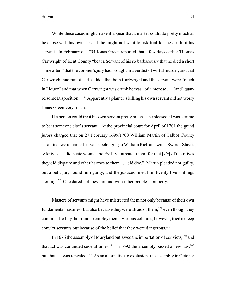While these cases might make it appear that a master could do pretty much as he chose with his own servant, he might not want to risk trial for the death of his servant. In February of 1754 Jonas Green reported that a few days earlier Thomas Cartwright of Kent County "beat a Servant of his so barbarously that he died a short Time after," that the coroner's jury had brought in a verdict of wilful murder, and that Cartwright had run off. He added that both Cartwright and the servant were "much in Liquor" and that when Cartwright was drunk he was "of a morose . . . [and] quarrelsome Disposition."<sup>136</sup> Apparently a planter's killing his own servant did not worry Jonas Green very much.

If a person could treat his own servant pretty much as he pleased, it was a crime to beat someone else's servant. At the provincial court for April of 1701 the grand jurors charged that on 27 February 1699/1700 William Martin of Talbot County assaulted two unnamed servants belonging to William Rich and with "Swords Staves & knives . . . did beate wound and Evill[y] intreate [them] for that [*sic*] of their lives they did dispaire and other harmes to them . . . did doe." Martin pleaded not guilty, but a petit jury found him guilty, and the justices fined him twenty-five shillings sterling.<sup>137</sup> One dared not mess around with other people's property.

Masters of servants might have mistreated them not only because of their own fundamental nastiness but also because they were afraid of them,  $^{138}$  even though they continued to buy them and to employ them. Various colonies, however, tried to keep convict servants out because of the belief that they were dangerous.<sup>139</sup>

In 1676 the assembly of Maryland outlawed the importation of convicts,  $140$  and that act was continued several times.<sup>141</sup> In 1692 the assembly passed a new law,<sup>142</sup> but that act was repealed.<sup>143</sup> As an alternative to exclusion, the assembly in October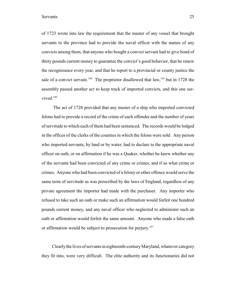of 1723 wrote into law the requirement that the master of any vessel that brought servants to the province had to provide the naval officer with the names of any convicts among them, that anyone who bought a convict servant had to give bond of thirty pounds current money to guarantee the convict's good behavior, that he renew the recognizance every year, and that he report to a provincial or county justice the sale of a convict servant.<sup>144</sup> The proprietor disallowed that  $law$ , <sup>145</sup> but in 1728 the assembly passed another act to keep track of imported convicts, and this one survived.<sup>146</sup>

 The act of 1728 provided that any master of a ship who imported convicted felons had to provide a record of the crime of each offender and the number of years of servitude to which each of them had been sentenced. The records would be lodged in the offices of the clerks of the counties in which the felons were sold. Any person who imported servants, by land or by water, had to declare to the appropriate naval officer on oath, or on affirmation if he was a Quaker, whether he knew whether any of the servants had been convicted of any crime or crimes, and if so what crime or crimes. Anyone who had been convicted of a felony or other offence would serve the same term of servitude as was prescribed by the laws of England, regardless of any private agreement the importer had made with the purchaser. Any importer who refused to take such an oath or make such an affirmation would forfeit one hundred pounds current money, and any naval officer who neglected to administer such an oath or affirmation would forfeit the same amount. Anyone who made a false oath or affirmation would be subject to prosecution for perjury.<sup>147</sup>

Clearly the lives of servants in eighteenth-century Maryland, whatever category they fit into, were very difficult. The elite authority and its functionaries did not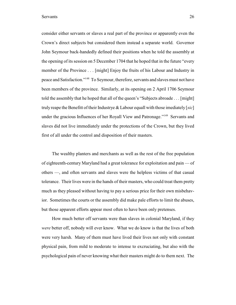consider either servants or slaves a real part of the province or apparently even the Crown's direct subjects but considered them instead a separate world. Governor John Seymour back-handedly defined their positions when he told the assembly at the opening of its session on 5 December 1704 that he hoped that in the future "every member of the Province . . . [might] Enjoy the fruits of his Labour and Industry in peace and Satisfaction."<sup>148</sup> To Seymour, therefore, servants and slaves must not have been members of the province. Similarly, at its opening on 2 April 1706 Seymour told the assembly that he hoped that all of the queen's "Subjects abroade . . . [might] truly reape the Benefitt of their Industrye & Labour equall with those imediately [*sic*] under the gracious Influences of her Royall View and Patronage."<sup>149</sup> Servants and slaves did not live immediately under the protections of the Crown, but they lived first of all under the control and disposition of their masters.

The wealthy planters and merchants as well as the rest of the free population of eighteenth-century Maryland had a great tolerance for exploitation and pain — of others —, and often servants and slaves were the helpless victims of that casual tolerance. Their lives were in the hands of their masters, who could treat them pretty much as they pleased without having to pay a serious price for their own misbehavior. Sometimes the courts or the assembly did make pale efforts to limit the abuses, but those apparent efforts appear most often to have been only pretenses.

How much better off servants were than slaves in colonial Maryland, if they *were* better off, nobody will ever know. What we do know is that the lives of both were very harsh. Many of them must have lived their lives not only with constant physical pain, from mild to moderate to intense to excruciating, but also with the psychological pain of never knowing what their masters might do to them next. The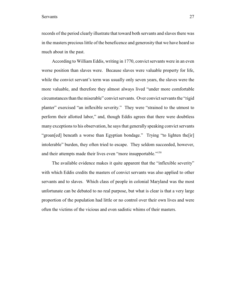records of the period clearly illustrate that toward both servants and slaves there was in the masters precious little of the beneficence and generosity that we have heard so much about in the past.

According to William Eddis, writing in 1770, convict servants were in an even worse position than slaves were. Because slaves were valuable property for life, while the convict servant's term was usually only seven years, the slaves were the more valuable, and therefore they almost always lived "under more comfortable circumstances than the miserable" convict servants. Over convict servants the "rigid planter" exercised "an inflexible severity." They were "strained to the utmost to perform their allotted labor," and, though Eddis agrees that there were doubtless many exceptions to his observation, he says that generally speaking convict servants "groan[ed] beneath a worse than Egyptian bondage." Trying "to lighten the[ir] intolerable" burden, they often tried to escape. They seldom succeeded, however, and their attempts made their lives even "more insupportable."<sup>150</sup>

The available evidence makes it quite apparent that the "inflexible severity" with which Eddis credits the masters of convict servants was also applied to other servants and to slaves. Which class of people in colonial Maryland was the most unfortunate can be debated to no real purpose, but what is clear is that a very large proportion of the population had little or no control over their own lives and were often the victims of the vicious and even sadistic whims of their masters.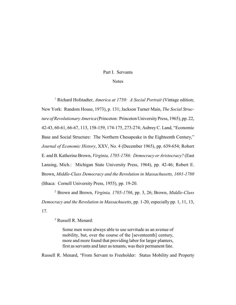#### Part I. Servants

#### **Notes**

<sup>1</sup> Richard Hofstadter, *America at 1750: A Social Portrait* (Vintage edition; New York: Random House, 1973), p. 131; Jackson Turner Main, *The Social Structure of Revolutionary America* (Princeton: Princeton UniversityPress, 1965), pp. 22, 42-43, 60-61, 66-67, 113, 158-159, 174-175, 273-274; Aubrey C. Land, "Economic Base and Social Structure: The Northern Chesapeake in the Eighteenth Century," *Journal of Economic History*, XXV, No. 4 (December 1965), pp. 639-654; Robert E. and B. Katherine Brown, *Virginia, 1705-1786: Democracy or Aristocracy?* (East Lansing, Mich.: Michigan State University Press, 1964), pp. 42-46; Robert E. Brown, *Middle-Class Democracy and the Revolution in Massachusetts, 1691-1780* (Ithaca: Cornell University Press, 1955), pp. 19-20.

 Brown and Brown, *Virginia, 1705-1786*, pp. 3, 26; Brown, *Middle-Class* <sup>2</sup> *Democracy and the Revolution in Massachusetts*, pp. 1-20, especially pp. 1, 11, 13, 17.

<sup>3</sup> Russell R. Menard:

Some men were always able to use servitude as an avenue of mobility, but, over the course of the [seventeenth] century, more and more found that providing labor for larger planters, first as servants and later as tenants, was their permanent fate.

Russell R. Menard, "From Servant to Freeholder: Status Mobility and Property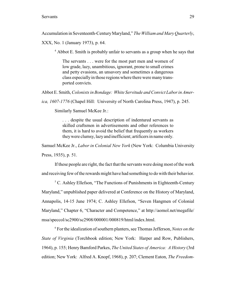Accumulation in Seventeenth-Century Maryland," *The William and Mary Quarterly*,

XXX, No. 1 (January 1973), p. 64.

 $4$  Abbot E. Smith is probably unfair to servants as a group when he says that

The servants . . . were for the most part men and women of low grade, lazy, unambitious, ignorant, prone to small crimes and petty evasions, an unsavory and sometimes a dangerous class especiallyin those regions where there were many transported convicts.

Abbot E. Smith, *Colonists in Bondage: White Servitude and Convict Laborin Amer-*

*ica, 1607-1776* (Chapel Hill: University of North Carolina Press, 1947), p. 245.

Similarly Samuel McKee Jr.:

. . . despite the usual description of indentured servants as skilled craftsmen in advertisements and other references to them, it is hard to avoid the belief that frequently as workers they were clumsy, lazy and inefficient; artificers in name only.

Samuel McKee Jr., *Labor in Colonial New York* (New York: Columbia University Press, 1935), p. 51.

If these people are right, the fact that the servants were doing most of the work and receiving few of the rewards might have had something to do with their behavior.

 $5$  C. Ashley Ellefson, "The Functions of Punishments in Eighteenth-Century Maryland," unpublished paper delivered at Conference on the History of Maryland, Annapolis, 14-15 June 1974; C. Ashley Ellefson, "Seven Hangmen of Colonial Maryland," Chapter 6, "Character and Competence," at http://aomol.net/megafile/ msa/speccol/sc2900/sc2908/000001/000819/html/index.html.

 For the idealization of southern planters, see Thomas Jefferson, *Notes on the* <sup>6</sup> *State of Virginia* (Torchbook edition; New York: Harper and Row, Publishers, 1964), p. 155; HenryBamford Parkes, *The United States of America: A History* (3rd edition; New York: Alfred A. Knopf, 1968), p. 207; Clement Eaton, *The Freedom-*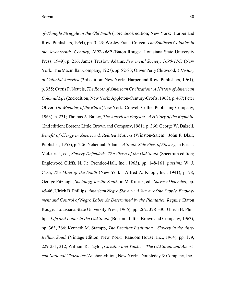*of-Thought Struggle in the Old South* (Torchbook edition; New York: Harper and Row, Publishers, 1964), pp. 3, 23; Wesley Frank Craven, *The Southern Colonies in the Seventeenth Century, 1607-1689* (Baton Rouge: Louisiana State University Press, 1949), p. 216; James Truslow Adams, *Provincial Society, 1690-1763* (New York: The Macmillan Company, 1927), pp. 82-83; Oliver Perry Chitwood, *A History of Colonial America* (3rd edition; New York: Harper and Row, Publishers, 1961), p. 355; Curtis P. Nettels, *The Roots of American Civilization: A History of American Colonial Life* (2nd edition; New York: Appleton-Century-Crofts, 1963), p. 467; Peter Oliver, *The Meaning of the Blues* (New York: Crowell-Collier Publishing Company, 1963), p. 231; Thomas A. Bailey, *The American Pageant: A History of the Republic* (2nd edition; Boston: Little, Brown andCompany, 1961), p. 366; George W. Dalzell, *Benefit of Clergy in America & Related Matters* (Winston-Salem: John F. Blair, Publisher, 1955), p. 226; Nehemiah Adams, *A South-Side View of Slavery*, in Eric L. McKitrick, ed., *Slavery Defended: The Views of the Old South* (Spectrum edition; Englewood Cliffs, N. J.: Prentice-Hall, Inc., 1963), pp. 148-161, *passim*.; W. J. Cash, *The Mind of the South* (New York: Alfred A. Knopf, Inc., 1941), p. 78; George Fitzhugh, *Sociology for the South*, in McKitrick, ed., *Slavery Defended*, pp. 45-46; Ulrich B. Phillips, *American Negro Slavery: A Survey of the Supply, Employment and Control of Negro Labor As Determined by the Plantation Regime* (Baton Rouge: Louisiana State University Press, 1966), pp. 262, 328-330; Ulrich B. Phillips, *Life and Labor in the Old South* (Boston: Little, Brown and Company, 1963), pp. 363, 366; Kenneth M. Stampp, *The Peculiar Institution: Slavery in the Ante-Bellum South* (Vintage edition; New York: Random House, Inc., 1964), pp. 179, 229-231, 312; William R. Taylor, *Cavalier and Yankee: The Old South and American National Character* (Anchor edition; New York: Doubleday & Company, Inc.,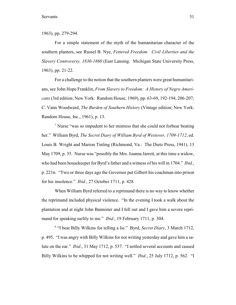1963), pp. 279-294.

For a simple statement of the myth of the humanitarian character of the southern planters, see Russel B. Nye, *Fettered Freedom: Civil Liberties and the Slavery Controversy, 1830-1860* (East Lansing: Michigan State University Press, 1963), pp. 21-22.

For a challenge to the notion that the southern planters were great humanitarians, see John Hope Franklin, *From Slavery to Freedom: A History of Negro Americans* (3rd edition; New York: Random House, 1969), pp. 63-69, 192-194, 206-207; C. Vann Woodward, *The Burden of Southern History* (Vintage edition; New York: Random House, Inc., 1961), p. 13.

<sup>7</sup> Nurse "was so impudent to her mistress that she could not forbear beating her." William Byrd, *The Secret Diary of William Byrd of Westover, 1709-1712*, ed. Louis B. Wright and Marion Tinling (Richmond, Va.: The Dietz Press, 1941), 13 May 1709, p. 35. Nurse was "possibly the Mrs. Joanna Jarrett, at this time a widow, who had been housekeeper for Byrd's father and a witness of his will in 1704." *Ibid.*, p. 221n. "Two or three days ago the Governor put Gilbert his coachman into prison for his insolence." *Ibid.*, 27 October 1711, p. 428.

When William Byrd referred to a reprimand there is no way to know whether the reprimand included physical violence. "In the evening I took a walk about the plantation and at night John Bannister and I fell out and I gave him a severe reprimand for speaking surlily to me." *Ibid.*, 19 February 1711, p. 304.

<sup>8</sup> "I beat Billy Wilkins for telling a lie." Byrd, *Secret Diary*, 3 March 1712, p. 495. "I was angry with Billy Wilkins for not writing yesterday and gave him a salute on the ear." *Ibid.*, 31 May 1712, p. 537. "I settled several accounts and caused Billy Wilkins to be whipped for not writing well." *Ibid.*, 25 July 1712, p. 562. "I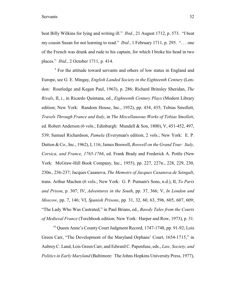Servants 32

beat Billy Wilkins for lying and writing ill." *Ibid.*, 21 August 1712, p. 573. "I beat my cousin Susan for not learning to read." *Ibid.*, 1 February 1711, p. 295. ". . . one of the French was drunk and rude to his captain, for which I broke his head in two places." *Ibid.*, 2 October 1711, p. 414.

<sup>9</sup> For the attitude toward servants and others of low status in England and Europe, see G. E. Mingay, *English Landed Society in the Eighteenth Century* (London: Routledge and Kegan Paul, 1963), p. 286; Richard Brinsley Sheridan, *The Rivals*, II, i., in Ricardo Quintana, ed., *Eighteenth Century Plays* (Modern Library edition; New York: Random House, Inc., 1952), pp. 434, 435; Tobias Smollett, *Travels Through France and Italy*, in *The Miscellaneous Works of Tobias Smollett*, ed. Robert Anderson (6 vols.; Edinburgh: Mundell & Son, 1800), V, 451-452, 497, 539; Samuel Richardson, *Pamela* (Everyman's edition; 2 vols.; New York: E. P. Dutton & Co., Inc., 1962), I, 116; James Boswell, *Boswell on the Grand Tour: Italy, Corsica, and France, 1765-1766*, ed. Frank Brady and Frederick A. Pottle (New York: McGraw-Hill Book Company, Inc., 1955), pp. 227, 227n., 228, 229, 230, 230n., 236-237; Jacques Casanova, *The Memoirs of Jacques Casanova de Seingalt*, trans. Arthur Machen (6 vols.; New York: G. P. Putnam's Sons, n.d.), II, *To Paris and Prison*, p. 307; IV, *Adventures in the South*, pp. 37, 366; V, *In London and Moscow*, pp. 7, 146; VI, *Spanish Prisons*, pp. 31, 32, 60, 63, 596, 605, 607, 609; "The Lady Who Was Castrated," in Paul Brians, ed., *Bawdy Tales from the Courts of Medieval France* (Torchbook edition; New York: Harper and Row, 1973), p. 31.

 $10$  Queen Anne's County Court Judgment Record, 1747-1748, pp. 91-92; Lois Green Carr, "The Development of the Maryland Orphans' Court, 1654-1715," in AubreyC. Land, Lois Green Carr, and Edward C. Papenfuse, eds., *Law, Society, and Politics in Early Maryland* (Baltimore: The Johns Hopkins University Press, 1977),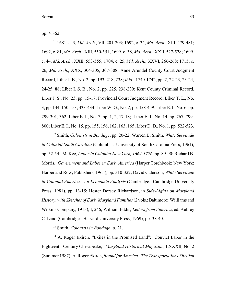pp. 41-62.

<sup>11</sup> 1681, c. 3, *Md. Arch.*, VII, 201-203; 1692, c. 34, *Md. Arch.*, XIII, 479-481; 1692, c. 81, *Md. Arch.*, XIII, 550-551; 1699, c. 38, *Md. Arch.*, XXII, 527-528; 1699, c. 44, *Md. Arch.*, XXII, 553-555; 1704, c. 25, *Md. Arch.*, XXVI, 266-268; 1715, c. 26, *Md. Arch.*, XXX, 304-305, 307-308; Anne Arundel County Court Judgment Record, Liber I. B., No. 2, pp. 193, 218, 238; *ibid.*, 1740-1742, pp. 2, 22-23, 23-24, 24-25, 88; Liber I. S. B., No. 2, pp. 225, 238-239; Kent County Criminal Record, Liber J. S., No. 23, pp. 15-17; Provincial Court Judgment Record, Liber T. L., No. 3, pp. 144, 150-153, 433-434; Liber W. G., No. 2, pp. 458-459; Liber E. I., No. 6, pp. 299-301, 362; Liber E. I., No. 7, pp. 1, 2, 17-18; Liber E. I., No. 14, pp. 767, 799- 800; Liber E. I., No. 15, pp. 155, 156, 162, 163, 165; Liber D. D., No. 1, pp. 522-523.

<sup>12</sup> Smith, *Colonists in Bondage*, pp. 20-22; Warren B. Smith, *White Servitude in Colonial South Carolina* (Columbia: University of South Carolina Press, 1961), pp. 52-54; McKee, *Labor in Colonial New York, 1664-1776*, pp. 89-90; Richard B. Morris, *Government and Labor in Early America* (Harper Torchbook; New York: Harper and Row, Publishers, 1965), pp. 310-322; David Galenson, *White Servitude in Colonial America: An Economic Analysis* (Cambridge: Cambridge University Press, 1981), pp. 13-15; Hester Dorsey Richardson, in *Side-Lights on Maryland History, with Sketches of Early Maryland Families* (2 vols.; Baltimore: Williams and Wilkins Company, 1913), I, 246; William Eddis, *Letters from America*, ed. Aubrey C. Land (Cambridge: Harvard University Press, 1969), pp. 38-40.

<sup>13</sup> Smith, *Colonists in Bondage*, p. 21.

 $14$  A. Roger Ekirch, "Exiles in the Promised Land": Convict Labor in the Eighteenth-Century Chesapeake," *Maryland Historical Magazine*, LXXXII, No. 2 (Summer 1987); A. Roger Ekirch, *Bound for America: The Transportation of British*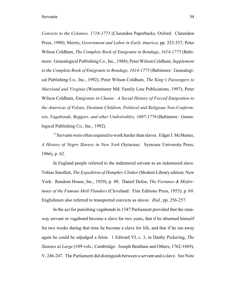*Convicts to the Colonies, 1718-1775* (Clarendon Paperbacks; Oxford: Clarendon Press, 1990); Morris, *Government and Labor in Early America*, pp. 323-337; Peter Wilson Coldham, *The Complete Book of Emigrants in Bondage, 1614-1775* (Baltimore: Genealogical Publishing Co., Inc., 1988); Peter Wilson Coldham, *Supplement to the Complete Book of Emigrants in Bondage, 1614-1775* (Baltimore: Genealogical Publishing Co., Inc., 1992); Peter Wilson Coldham, *The King's Passengers to Maryland and Virginia* (Westminster Md: Family Line Publications, 1997); Peter Wilson Coldham, *Emigrants in Chains: A Social History of Forced Emigration to the Americas of Felons, Destitute Children, Political and Religious Non-Conformists, Vagabonds, Beggars, and other Undesirables, 1607-1776* (Baltimore: Genealogical Publishing Co., Inc., 1992).

<sup>15</sup> Servants were often required to work harder than slaves. Edgar J. McManus, *A History of Negro Slavery in New York* (Syracuse: Syracuse University Press, 1966), p. 62.

In England people referred to the indentured servant as an indentured slave. Tobias Smollett, *The Expedition of Humphry Clinker* (Modern Library edition; New York: Random House, Inc., 1929), p. 49; Daniel Defoe, *The Fortunes & Misfortunes of the Famous Moll Flanders* (Cleveland: Fine Editions Press, 1953), p. 69. Englishmen also referred to transported convicts as slaves. *Ibid.*, pp. 256-257.

In the act for punishing vagabonds in 1547 Parliament provided that the runaway servant or vagabond become a slave for two years, that if he absented himself for two weeks during that time he become a slave for life, and that if he ran away again he could be adjudged a felon. 1 Edward VI, c. 3, in Danby Pickering, *The Statutes at Large* (109 vols.; Cambridge: Joseph Bentham and Others, 1762-1869), V, 246-247. The Parliament did distinguish between a servant and a slave. See Note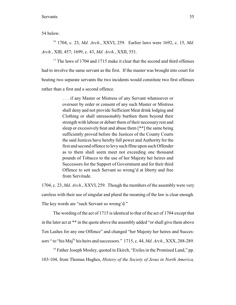54 below.

<sup>16</sup> 1704, c. 23, *Md. Arch.*, XXVI, 259. Earlier laws were 1692, c. 15, *Md. Arch.*, XIII, 457; 1699, c. 43, *Md. Arch.*, XXII, 551.

 $17$  The laws of 1704 and 1715 make it clear that the second and third offenses had to involve the same servant as the first. If the master was brought into court for beating two separate servants the two incidents would constitute two first offenses rather than a first and a second offence.

> . . . if any Master or Mistress of any Servant whatsoever or overseer by order or consent of any such Master or Mistress shall deny and not provide Sufficient Meat drink lodging and Clothing or shall unreasonably burthen them beyond their strength with labour or debarr them of their necessary rest and sleep or excessively beat and abuse them [\*\*] the same being sufficiently proved before the Justices of the County Courts the said Justices have hereby full power and Authority for the first and second offence to levy such ffine upon such Offender as to them shall seem meet not exceeding one thousand pounds of Tobacco to the use of her Majesty her heires and Successors for the Support of Government and for their third Offence to sett such Servant so wrong'd at liberty and free from Servitude.

1704, c. 23, *Md. Arch.*, XXVI, 259. Though the members of the assembly were very careless with their use of singular and plural the meaning of the law is clear enough. The key words are "such Servant so wrong'd."

The wording of the act of 1715 is identical to that of the act of 1704 except that in the later act at \*\* in the quote above the assembly added "or shall give them above Ten Lashes for any one Offence" and changed "her Majesty her heires and Successors " to "his Maj<sup>ty</sup> his heirs and successors." 1715, c. 44, *Md. Arch.*, XXX, 288-289.

 $^{18}$  Father Joseph Mosley, quoted in Ekirch, "Exiles in the Promised Land," pp. 103-104, from Thomas Hughes, *History of the Society of Jesus in North America,*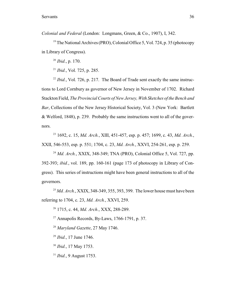*Colonial and Federal* (London: Longmans, Green, & Co., 1907), I, 342.

<sup>19</sup> The National Archives (PRO), Colonial Office 5, Vol. 724, p. 35 (photocopy in Library of Congress).

 $^{20}$  *Ibid.*, p. 170.

 $^{21}$  *Ibid.*, Vol. 725, p. 285.

 $I<sup>22</sup> Ibid., Vol. 726, p. 217. The Board of Trade sent exactly the same instruc$ tions to Lord Cornbury as governor of New Jersey in November of 1702. Richard Stackton Field, *The Provincial Courts of New Jersey, With Sketches of the Bench and Bar*, Collections of the New Jersey Historical Society, Vol. 3 (New York: Bartlett & Welford, 1848), p. 239. Probably the same instructions went to all of the governors.

 1692, c. 15, *Md. Arch.*, XIII, 451-457, esp. p. 457; 1699, c. 43, *Md. Arch.*, 23 XXII, 546-553, esp. p. 551; 1704, c. 23, *Md. Arch.*, XXVI, 254-261, esp. p. 259.

<sup>24</sup> *Md. Arch.*, XXIX, 348-349; TNA (PRO), Colonial Office 5, Vol. 727, pp. 392-393; *ibid.*, vol. 189, pp. 160-161 (page 173 of photocopy in Library of Congress). This series of instructions might have been general instructions to all of the governors.

 $^{25}$  *Md. Arch.*, XXIX, 348-349, 355, 393, 399. The lower house must have been referring to 1704, c. 23, *Md. Arch.*, XXVI, 259.

<sup>26</sup> 1715, c. 44, *Md. Arch.*, XXX, 288-289.

 $27$  Annapolis Records, By-Laws, 1766-1791, p. 37.

<sup>28</sup> Maryland Gazette, 27 May 1746.

<sup>29</sup> *Ibid.*, 17 June 1746.

<sup>30</sup> *Ibid.*, 17 May 1753.

<sup>31</sup> *Ibid.*, 9 August 1753.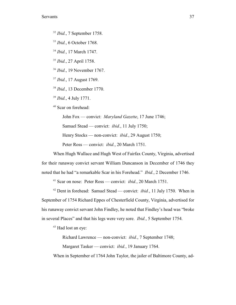<sup>32</sup> *Ibid.*, 7 September 1758.

<sup>33</sup> *Ibid.*, 6 October 1768.

<sup>34</sup> *Ibid.*, 17 March 1747.

<sup>35</sup> *Ibid.*, 27 April 1758.

<sup>36</sup> *Ibid.*, 19 November 1767.

<sup>37</sup> *Ibid.*, 17 August 1769.

<sup>38</sup> *Ibid.*, 13 December 1770.

<sup>39</sup> *Ibid.*, 4 July 1771.

<sup>40</sup> Scar on forehead:

John Fox — convict: *Maryland Gazette*, 17 June 1746;

Samuel Stead — convict: *ibid.*, 11 July 1750;

Henry Stocks — non-convict: *ibid.*, 29 August 1750;

Peter Ross — convict: *ibid.*, 20 March 1751.

When Hugh Wallace and Hugh West of Fairfax County, Virginia, advertised for their runaway convict servant William Duncanson in December of 1746 they noted that he had "a remarkable Scar in his Forehead." *Ibid.*, 2 December 1746.

<sup>41</sup> Scar on nose: Peter Ross — convict: *ibid.*, 20 March 1751.

 $42$  Dent in forehead: Samuel Stead — convict: *ibid.*, 11 July 1750. When in September of 1754 Richard Eppes of Chesterfield County, Virginia, advertised for his runaway convict servant John Findley, he noted that Findley's head was "broke in several Places" and that his legs were very sore. *Ibid.*, 5 September 1754.

 $43$  Had lost an eye:

Richard Lawrence — non-convict: *ibid.*, 7 September 1748;

Margaret Tasker — convict: *ibid.*, 19 January 1764.

When in September of 1764 John Taylor, the jailer of Baltimore County, ad-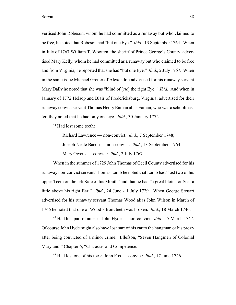vertised John Robeson, whom he had committed as a runaway but who claimed to be free, he noted that Robeson had "but one Eye." *Ibid.*, 13 September 1764. When in July of 1767 William T. Wootten, the sheriff of Prince George's County, advertised Mary Kelly, whom he had committed as a runaway but who claimed to be free and from Virginia, he reported that she had "but one Eye." *Ibid.*, 2 July 1767. When in the same issue Michael Gretter of Alexandria advertised for his runaway servant Mary Dally he noted that she was "blind of [*sic*] the right Eye." *Ibid.* And when in January of 1772 Helsop and Blair of Fredericksburg, Virginia, advertised for their runaway convict servant Thomas Henry Enman alias Eaman, who was a schoolmaster, they noted that he had only one eye. *Ibid.*, 30 January 1772.

<sup>44</sup> Had lost some teeth:

Richard Lawrence — non-convict: *ibid.*, 7 September 1748;

Joseph Neale Bacon — non-convict: *ibid.*, 13 September 1764;

Mary Owens — convict: *ibid.*, 2 July 1767.

When in the summer of 1729 John Thomas of Cecil County advertised for his runaway non-convict servant Thomas Lamb he noted that Lamb had "lost two of his upper Teeth on the left Side of his Mouth" and that he had "a great blotch or Scar a little above his right Ear." *Ibid.*, 24 June - 1 July 1729. When George Steuart advertised for his runaway servant Thomas Wood alias John Wilson in March of 1746 he noted that one of Wood's front teeth was broken. *Ibid.*, 18 March 1746.

<sup>45</sup> Had lost part of an ear: John Hyde — non-convict: *ibid.*, 17 March 1747. Of course John Hyde might also have lost part of his ear to the hangman or his proxy after being convicted of a minor crime. Ellefson, "Seven Hangmen of Colonial Maryland," Chapter 6, "Character and Competence."

<sup>46</sup> Had lost one of his toes: John Fox — convict: *ibid.*, 17 June 1746.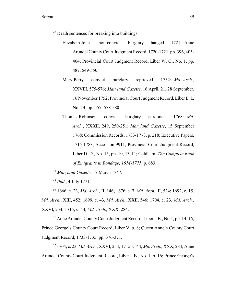$47$  Death sentences for breaking into buildings:

- Elizabeth Jones non-convict burglary hanged 1721: Anne Arundel CountyCourt Judgment Record, 1720-1721, pp. 396, 403- 404; Provincial Court Judgment Record, Liber W. G., No. 1, pp. 487, 549-550;
- Mary Perry convict burglary reprieved 1752: *Md. Arch.*, XXVIII, 575-576; *Maryland Gazette*, 16 April, 21, 28 September, 16 November 1752; Provincial Court Judgment Record, Liber E. I., No. 14, pp. 557, 578-580;

Thomas Robinson — convict — burglary — pardoned — 1768: *Md. Arch.*, XXXII, 249, 250-251; *Maryland Gazette*, 15 September 1768; Commission Records, 1733-1773, p. 218; Executive Papers, 1715-1783, Accession 9911; Provincial Court Judgment Record, Liber D. D., No. 15, pp. 10, 13-14; Coldham, *The Complete Book of Emigrants in Bondage, 1614-1775*, p. 683.

<sup>48</sup> Maryland Gazette, 17 March 1747.

 $^{49}$  *Ibid.*, 4 July 1771.

<sup>50</sup> 1666, c. 23, *Md. Arch.*, II, 146; 1676, c. 7, *Md. Arch.*, II, 524; 1692, c. 15, *Md. Arch.*, XIII, 452; 1699, c. 43, *Md. Arch.*, XXII, 546; 1704, c. 23, *Md. Arch.*, XXVI, 254; 1715, c. 44, *Md. Arch.*, XXX, 284.

 $51$  Anne Arundel County Court Judgment Record, Liber I, B., No. 1, pp. 14, 16; Prince George's County Court Record; Liber V, p. 8; Queen Anne's County Court Judgment Record, 1733-1735, pp. 376-371.

<sup>52</sup> 1704, c. 23, *Md. Arch.*, XXVI, 254; 1715, c. 44, *Md. Arch.*, XXX, 284; Anne Arundel County Court Judgment Record, Liber I. B., No. 1, p. 16; Prince George's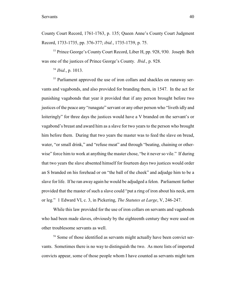County Court Record, 1761-1763, p. 135; Queen Anne's County Court Judgment Record, 1733-1735, pp. 376-377; *ibid.*, 1735-1739, p. 75.

<sup>53</sup> Prince George's County Court Record, Liber H, pp. 928, 930. Joseph Belt was one of the justices of Prince George's County. *Ibid.*, p. 928.

 $^{54}$  *Ibid.*, p. 1013.

<sup>55</sup> Parliament approved the use of iron collars and shackles on runaway servants and vagabonds, and also provided for branding them, in 1547. In the act for punishing vagabonds that year it provided that if any person brought before two justices of the peace any "runagate" servant or any other person who "liveth idly and loiteringly" for three days the justices would have a V branded on the servant's or vagabond's breast and award him as a slave for two years to the person who brought him before them. During that two years the master was to feed the slave on bread, water, "or small drink," and "refuse meat" and through "beating, chaining or otherwise" force him to work at anything the master chose, "be it never so vile." If during that two years the slave absented himself for fourteen days two justices would order an S branded on his forehead or on "the ball of the cheek" and adjudge him to be a slave for life. If he ran away again he would be adjudged a felon. Parliament further provided that the master of such a slave could "put a ring of iron about his neck, arm or leg." 1 Edward VI, c. 3, in Pickering, *The Statutes at Large*, V, 246-247.

While this law provided for the use of iron collars on servants and vagabonds who had been made slaves, obviously by the eighteenth century they were used on other troublesome servants as well.

<sup>56</sup> Some of those identified as servants might actually have been convict servants. Sometimes there is no way to distinguish the two. As more lists of imported convicts appear, some of those people whom I have counted as servants might turn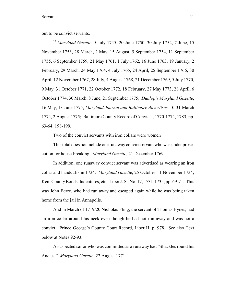out to be convict servants.

<sup>57</sup> Maryland Gazette, 5 July 1745, 20 June 1750, 30 July 1752, 7 June, 15 November 1753, 28 March, 2 May, 15 August, 5 September 1754, 11 September 1755, 6 September 1759, 21 May 1761, 1 July 1762, 16 June 1763, 19 January, 2 February, 29 March, 24 May 1764, 4 July 1765, 24 April, 25 September 1766, 30 April, 12 November 1767, 28 July, 4 August 1768, 21 December 1769, 5 July 1770, 9 May, 31 October 1771, 22 October 1772, 18 February, 27 May 1773, 28 April, 6 October 1774, 30 March, 8 June, 21 September 1775; *Dunlop's Maryland Gazette*, 16 May, 13 June 1775; *Maryland Journal and Baltimore Advertiser*, 10-31 March 1774, 2 August 1775; Baltimore County Record of Convicts, 1770-1774, 1783, pp. 63-64, 198-199.

Two of the convict servants with iron collars were women

This total does not include one runaway convict servant who was under prosecution for house-breaking. *Maryland Gazette*, 21 December 1769.

In addition, one runaway convict servant was advertised as wearing an iron collar and handcuffs in 1734. *Maryland Gazette*, 25 October - 1 November 1734; Kent County Bonds, Indentures, etc., Liber J. S., No. 17, 1731-1735, pp. 69-71. This was John Berry, who had run away and escaped again while he was being taken home from the jail in Annapolis.

And in March of 1719/20 Nicholas Fling, the servant of Thomas Hynes, had an iron collar around his neck even though he had not run away and was not a convict. Prince George's County Court Record, Liber H, p. 978. See also Text below at Notes 92-93.

A suspected sailor who was committed as a runaway had "Shackles round his Ancles." *Maryland Gazette*, 22 August 1771.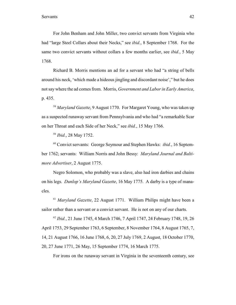For John Benham and John Miller, two convict servants from Virginia who had "large Steel Collars about their Necks," see *ibid.*, 8 September 1768. For the same two convict servants without collars a few months earlier, see *ibid.*, 5 May 1768.

Richard B. Morris mentions an ad for a servant who had "a string of bells around his neck, 'which made a hideous jingling and discordant noise'," but he does not say where the ad comes from. Morris, *Government and Labor in Early America*, p. 435.

<sup>58</sup> Maryland Gazette, 9 August 1770. For Margaret Young, who was taken up as a suspected runaway servant from Pennsylvania and who had "a remarkable Scar on her Throat and each Side of her Neck," see *ibid.*, 15 May 1766.

<sup>59</sup> *Ibid.*, 28 May 1752.

<sup>60</sup> Convict servants: George Seymour and Stephen Hawks: *ibid.*, 16 September 1762; servants: William Norris and John Bessy: *Maryland Journal and Baltimore Advertiser*, 2 August 1775.

Negro Solomon, who probably was a slave, also had iron darbies and chains on his legs. *Dunlop's Maryland Gazette*, 16 May 1775. A darby is a type of manacles.

<sup>61</sup> Maryland Gazette, 22 August 1771. William Philips might have been a sailor rather than a servant or a convict servant. He is not on any of our charts.

<sup>62</sup> Ibid., 21 June 1745, 4 March 1746, 7 April 1747, 24 February 1748, 19, 26 April 1753, 29 September 1763, 6 September, 8 November 1764, 8 August 1765, 7, 14, 21 August 1766, 16 June 1768, 6, 20, 27 July 1769, 2 August, 18 October 1770, 20, 27 June 1771, 26 May, 15 September 1774, 16 March 1775.

For irons on the runaway servant in Virginia in the seventeenth century, see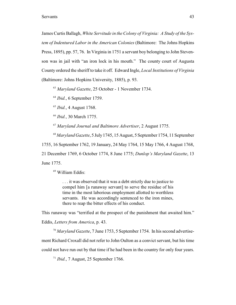James Curtis Ballagh, *White Servitude in the Colony of Virginia: A Study of the System of Indentured Labor in the American Colonies* (Baltimore: The Johns Hopkins Press, 1895), pp. 57, 76. In Virginia in 1751 a servant boy belonging to John Stevenson was in jail with "an iron lock in his mouth." The county court of Augusta County ordered the sheriff to take it off. Edward Ingle, *Local Institutions of Virginia* (Baltimore: Johns Hopkins University, 1885), p. 93.

<sup>63</sup> Maryland Gazette, 25 October - 1 November 1734.

 $^{64}$  *Ibid.*, 6 September 1759.

<sup>65</sup> *Ibid.*, 4 August 1768.

<sup>66</sup> *Ibid.*, 30 March 1775.

<sup>67</sup> Maryland Journal and Baltimore Advertiser, 2 August 1775.

<sup>68</sup> Maryland Gazette, 5 July 1745, 15 August, 5 September 1754, 11 September

1755, 16 September 1762, 19 January, 24 May 1764, 15 May 1766, 4 August 1768,

21 December 1769, 6 October 1774, 8 June 1775; *Dunlop's Maryland Gazette*, 13

June 1775.

<sup>69</sup> William Eddis:

. . . it was observed that it was a debt strictly due to justice to compel him [a runaway servant] to serve the residue of his time in the most laborious employment allotted to worthless servants. He was accordingly sentenced to the iron mines, there to reap the bitter effects of his conduct.

This runaway was "terrified at the prospect of the punishment that awaited him." Eddis, *Letters from America*, p. 43.

<sup>70</sup> Maryland Gazette, 7 June 1753, 5 September 1754. In his second advertisement Richard Croxall did not refer to John Oulton as a convict servant, but his time could not have run out by that time if he had been in the country for only four years.

<sup>71</sup> *Ibid.*, 7 August, 25 September 1766.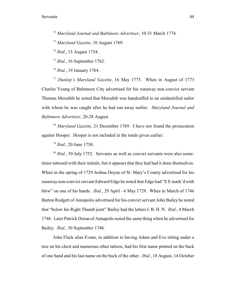<sup>72</sup> Maryland Journal and Baltimore Advertiser, 10-31 March 1774.

<sup>73</sup> Maryland Gazette, 10 August 1769.

<sup>74</sup> *Ibid.*, 15 August 1754.

 $^{75}$  *Ibid.*, 16 September 1762.

<sup>76</sup> *Ibid.*, 19 January 1764.

<sup>77</sup> Dunlop's Maryland Gazette, 16 May 1775. When in August of 1773 Charles Young of Baltimore City advertised for his runaway non-convict servant Thomas Meredith he noted that Meredith was handcuffed to an unidentified sailor with whom he was caught after he had run away earlier. *Maryland Journal and Baltimore Advertiser*, 20-28 August.

<sup>78</sup> Maryland Gazette, 21 December 1769. I have not found the prosecution against Hooper. Hooper is not included in the totals given earlier.

<sup>79</sup> *Ibid.*, 20 June 1750.

<sup>80</sup> Ibid., 30 July 1752. Servants as well as convict servants were also sometimes tattooed with their initials, but it appears that they had had it done themselves. When in the spring of 1729 Joshua Doyne of St. Mary's County advertised for his runaway non-convict servant Edward Edge he noted that Edge had "E E mark'd with blew" on one of his hands. *Ibid.*, 29 April - 6 May 1729. When in March of 1746 Barton Rodgett of Annapolis advertised for his convict servant John Bailey he noted that "below his Right Thumb joint" Bailey had the letters I. B. H. N. *Ibid.*, 4 March 1746. Later Patrick Doran of Annapolis noted the same thing when he advertised for Bailey. *Ibid.*, 30 September 1746.

John Flack alias Evans, in addition to having Adam and Eve sitting under a tree on his chest and numerous other tattoos, had his first name printed on the back of one hand and his last name on the back of the other. *Ibid.*, 18 August, 14 October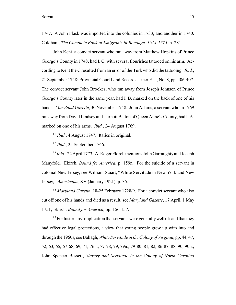1747. A John Flack was imported into the colonies in 1733, and another in 1740. Coldham, *The Complete Book of Emigrants in Bondage, 1614-1775*, p. 281.

John Kent, a convict servant who ran away from Matthew Hopkins of Prince George's County in 1748, had I. C. with several flourishes tattooed on his arm. According to Kent the C resulted from an error of the Turk who did the tattooing. *Ibid.*, 21 September 1748; Provincial Court Land Records, Liber E. I., No. 8, pp. 406-407. The convict servant John Brookes, who ran away from Joseph Johnson of Prince George's County later in the same year, had I. B. marked on the back of one of his hands. *Maryland Gazette*, 30 November 1748. John Adams, a servant who in 1769 ran away from David Lindsey and Turbutt Betton of Queen Anne's County, had I. A. marked on one of his arms. *Ibid.*, 24 August 1769.

 $^{81}$  *Ibid.*, 4 August 1747. Italics in original.

 $82$  *Ibid.*, 25 September 1766.

<sup>83</sup> *Ibid.*, 22 April 1773. A. Roger Ekirch mentions John Garraughty and Joseph Manyfold. Ekirch, *Bound for America*, p. 159n. For the suicide of a servant in colonial New Jersey, see William Stuart, "White Servitude in New York and New Jersey," *Americana*, XV (January 1921), p. 35.

<sup>84</sup> Maryland Gazette, 18-25 February 1728/9. For a convict servant who also cut off one of his hands and died as a result, see *Maryland Gazette*, 17 April, 1 May 1751; Ekirch, *Bound for America*, pp. 156-157.

 $85$  For historians' implication that servants were generally well off and that they had effective legal protections, a view that young people grew up with into and through the 1960s, see Ballagh, *White Servitude in theColony of Virginia*, pp. 44, 47, 52, 63, 65, 67-68, 69, 71, 76n., 77-78, 79, 79n., 79-80, 81, 82, 86-87, 88, 90, 90n.; John Spencer Bassett, *Slavery and Servitude in the Colony of North Carolina*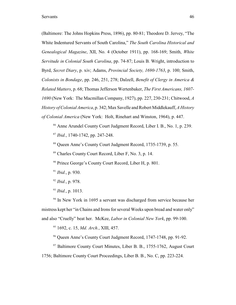(Baltimore: The Johns Hopkins Press, 1896), pp. 80-81; Theodore D. Jervey, "The White Indentured Servants of South Carolina," *The South Carolina Historical and Genealogical Magazine*, XII, No. 4 (October 1911), pp. 168-169; Smith, *White Servitude in Colonial South Carolina*, pp. 74-87; Louis B. Wright, introduction to Byrd, *Secret Diary*, p. xiv; Adams, *Provincial Society, 1690-1763*, p. 100; Smith, *Colonists in Bondage*, pp. 246, 251, 278; Dalzell, *Benefit of Clergy in America & Related Matters*, p. 68; Thomas Jefferson Wertenbaker, *The First Americans, 1607- 1690* (New York: The Macmillan Company, 1927), pp. 227, 230-231; Chitwood, *A History of Colonial America*, p. 342; Max Savelle and Robert Middlekauff, *A History of Colonial America* (New York: Holt, Rinehart and Winston, 1964), p. 447.

<sup>86</sup> Anne Arundel County Court Judgment Record, Liber I, B., No. 1, p. 239.  $^{87}$  *Ibid.*, 1740-1742, pp. 247-248.

<sup>88</sup> Oueen Anne's County Court Judgment Record, 1735-1739, p. 55.

 $89$  Charles County Court Record, Liber F, No. 3, p. 14.

 $90$  Prince George's County Court Record, Liber H, p. 801.

 $^{91}$  *Ibid.*, p. 930.

- $^{92}$  *Ibid.*, p. 978.
- $^{93}$  *Ibid.*, p. 1013.

 $10<sup>94</sup>$  In New York in 1695 a servant was discharged from service because her mistress kept her "in Chains and Irons for several Weeks upon bread and water only" and also "Cruelly" beat her. McKee, *Labor in Colonial New York*, pp. 99-100.

<sup>95</sup> 1692, c. 15, *Md. Arch.*, XIII, 457.

<sup>96</sup> Queen Anne's County Court Judgment Record, 1747-1748, pp. 91-92.

 $97$  Baltimore County Court Minutes, Liber B. B., 1755-1762, August Court 1756; Baltimore County Court Proceedings, Liber B. B., No. C, pp. 223-224.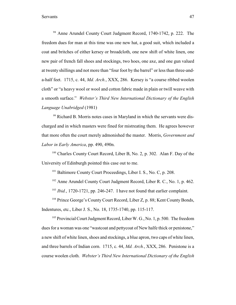<sup>98</sup> Anne Arundel County Court Judgment Record, 1740-1742, p. 222. The freedom dues for man at this time was one new hat, a good suit, which included a coat and britches of either kersey or broadcloth, one new shift of white linen, one new pair of french fall shoes and stockings, two hoes, one axe, and one gun valued at twenty shillings and not more than "four foot by the barrel" or less than three-anda-half feet. 1715, c. 44, *Md. Arch.*, XXX, 286. Kersey is "a course ribbed woolen cloth" or "a heavy wool or wool and cotton fabric made in plain or twill weave with a smooth surface." *Webster's Third New International Dictionary of the English Language Unabridged* (1981)

<sup>99</sup> Richard B. Morris notes cases in Maryland in which the servants were discharged and in which masters were fined for mistreating them. He agrees however that more often the court merely admonished the master. Morris, *Government and Labor in Early America*, pp. 490, 490n.

 $100$  Charles County Court Record, Liber B, No. 2, p. 302. Alan F. Day of the University of Edinburgh pointed this case out to me.

 $101$  Baltimore County Court Proceedings, Liber I. S., No. C, p. 208.

 $102$  Anne Arundel County Court Judgment Record, Liber R. C., No. 1, p. 462.

<sup>103</sup> *Ibid.*, 1720-1721, pp. 246-247. I have not found that earlier complaint.

<sup>104</sup> Prince George's County Court Record, Liber Z, p. 88; Kent County Bonds, Indentures, etc., Liber J. S., No. 18, 1735-1740, pp. 115-117.

<sup>105</sup> Provincial Court Judgment Record, Liber W. G., No. 1, p. 500. The freedom dues for a woman was one "wastcoat and pettycoat of New halfe thick or penistone," a new shift of white linen, shoes and stockings, a blue apron, two caps of white linen, and three barrels of Indian corn. 1715, c. 44, *Md. Arch.*, XXX, 286. Penistone is a course woolen cloth. *Webster's Third New International Dictionary of the English*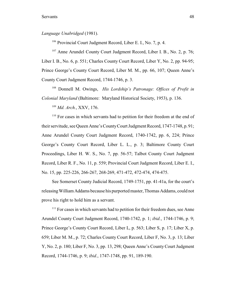*Language Unabridged* (1981).

 $106$  Provincial Court Judgment Record, Liber E. I., No. 7, p. 4.

 $107$  Anne Arundel County Court Judgment Record, Liber I. B., No. 2, p. 76; Liber I. B., No. 6, p. 551; Charles County Court Record, Liber Y, No. 2, pp. 94-95; Prince George's County Court Record, Liber M. M., pp. 66, 107; Queen Anne's County Court Judgment Record, 1744-1746, p. 3.

 Donnell M. Owings, *His Lordship's Patronage: Offices of Profit in* 108 *Colonial Maryland* (Baltimore: Maryland Historical Society, 1953), p. 136.

<sup>109</sup> Md. Arch., XXV, 176.

 $110$  For cases in which servants had to petition for their freedom at the end of their servitude, see Queen Anne's County Court Judgment Record, 1747-1748, p. 91; Anne Arundel County Court Judgment Record, 1740-1742, pp. 6, 224; Prince George's County Court Record, Liber L. L., p. 3; Baltimore County Court Proceedings, Liber H. W. S., No. 7, pp. 56-57; Talbot County Court Judgment Record, Liber R. F., No. 11, p. 559; Provincial Court Judgment Record, Liber E. I., No. 15, pp. 225-226, 266-267, 268-269, 471-472, 472-474, 474-475.

See Somerset County Judicial Record, 1749-1751, pp. 41-41a, for the court's releasing William Addams because his purported master, Thomas Addams, could not prove his right to hold him as a servant.

 $<sup>111</sup>$  For cases in which servants had to petition for their freedom dues, see Anne</sup> Arundel County Court Judgment Record, 1740-1742, p. 1; *ibid.*, 1744-1746, p. 9; Prince George's County Court Record, Liber L, p. 563; Liber S, p. 17; Liber X, p. 659; Liber M. M., p. 72; Charles County Court Record, Liber F, No. 3, p. 13; Liber Y, No. 2, p. 180; Liber F, No. 3, pp. 13, 298; Queen Anne's County Court Judgment Record, 1744-1746, p. 9; *ibid.*, 1747-1748, pp. 91, 189-190.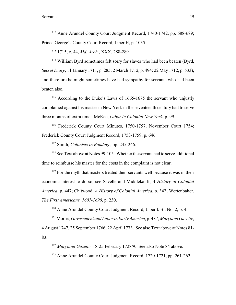$112$  Anne Arundel County Court Judgment Record, 1740-1742, pp. 688-689; Prince George's County Court Record, Liber H, p. 1035.

<sup>113</sup> 1715, c. 44, *Md. Arch.*, XXX, 288-289.

<sup>114</sup> William Byrd sometimes felt sorry for slaves who had been beaten (Byrd, *Secret Diary*, 11 January 1711, p. 285; 2 March 1712, p. 494; 22 May 1712, p. 533), and therefore he might sometimes have had sympathy for servants who had been beaten also.

 $115$  According to the Duke's Laws of 1665-1675 the servant who unjustly complained against his master in New York in the seventeenth century had to serve three months of extra time. McKee, *Labor in Colonial New York*, p. 99.

<sup>116</sup> Frederick County Court Minutes, 1750-1757, November Court 1754; Frederick County Court Judgment Record, 1753-1759, p. 646.

<sup>117</sup> Smith, *Colonists in Bondage*, pp. 245-246.

 $118$  See Text above at Notes 99-105. Whether the servant had to serve additional time to reimburse his master for the costs in the complaint is not clear.

 $119$  For the myth that masters treated their servants well because it was in their economic interest to do so, see Savelle and Middlekauff, *A History of Colonial America*, p. 447; Chitwood, *A History of Colonial America*, p. 342; Wertenbaker, *The First Americans, 1607-1690*, p. 230.

 $120$  Anne Arundel County Court Judgment Record, Liber I. B., No. 2, p. 4.

 Morris, *Government and Labor in Early America*, p. 487; *Maryland Gazette*, 121 4 August 1747, 25 September 1766, 22 April 1773. See also Text above at Notes 81- 83.

<sup>122</sup> Maryland Gazette, 18-25 February 1728/9. See also Note 84 above.

<sup>123</sup> Anne Arundel County Court Judgment Record, 1720-1721, pp. 261-262.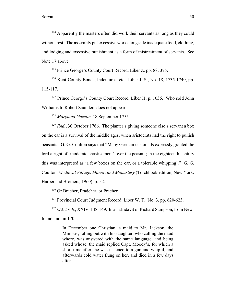$124$  Apparently the masters often did work their servants as long as they could without rest. The assembly put excessive work along side inadequate food, clothing, and lodging and excessive punishment as a form of mistreatment of servants. See Note 17 above.

 $125$  Prince George's County Court Record, Liber Z, pp. 88, 375.

 $126$  Kent County Bonds, Indentures, etc., Liber J. S., No. 18, 1735-1740, pp. 115-117.

 $127$  Prince George's County Court Record, Liber H, p. 1036. Who sold John Williams to Robert Saunders does not appear.

<sup>128</sup> Maryland Gazette, 18 September 1755.

 $I<sup>129</sup> Ibid., 30 October 1766. The planet's giving someone else's servant a box.$ on the ear is a survival of the middle ages, when aristocrats had the right to punish peasants. G. G. Coulton says that "Many German customals expressly granted the lord a right of 'moderate chastisement' over the peasant; in the eighteenth century this was interpreted as 'a few boxes on the ear, or a tolerable whipping'." G. G. Coulton, *Medieval Village, Manor, and Monastery* (Torchbook edition; New York: Harper and Brothers, 1960), p. 52.

<sup>130</sup> Or Bracher, Pradcher, or Pracher.

 $131$  Provincial Court Judgment Record, Liber W. T., No. 3, pp. 620-623.

<sup>132</sup> Md. Arch., XXIV, 148-149. In an affidavit of Richard Sampson, from Newfoundland, in 1705:

> In December one Christian, a maid to Mr. Jackson, the Minister, falling out with his daughter, who calling the maid whore, was answered with the same language, and being asked whose, the maid replied Capt. Moody's, for which a short time after she was fastened to a gun and whip'd, and afterwards cold water flung on her, and died in a few days after.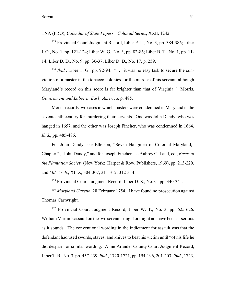TNA (PRO), *Calendar of State Papers: Colonial Series*, XXII, 1242.

<sup>133</sup> Provincial Court Judgment Record, Liber P. L., No. 3, pp. 384-386; Liber I. O., No. 1, pp. 121-124; Liber W. G., No. 3, pp. 82-86; Liber B. T., No. 1, pp. 11- 14; Liber D. D., No. 9, pp. 36-37; Liber D. D., No. 17, p. 259.

 $I<sup>134</sup> Ibid., Liber T. G., pp. 92-94.$  " $\ldots$  it was no easy task to secure the conviction of a master in the tobacco colonies for the murder of his servant, although Maryland's record on this score is far brighter than that of Virginia." Morris, *Government and Labor in Early America*, p. 485.

Morris records two cases in which masters were condemned in Maryland in the seventeenth century for murdering their servants. One was John Dandy, who was hanged in 1657, and the other was Joseph Fincher, who was condemned in 1664. *Ibid.*, pp. 485-486.

For John Dandy, see Ellefson, "Seven Hangmen of Colonial Maryland," Chapter 2, "John Dandy," and for Joseph Fincher see Aubrey C. Land, ed., *Bases of the Plantation Society* (New York: Harper & Row, Publishers, 1969), pp. 213-220, and *Md. Arch.*, XLIX, 304-307, 311-312, 312-314.

 $135$  Provincial Court Judgment Record, Liber D. S., No. C, pp. 340-341.

<sup>136</sup> Maryland Gazette, 28 February 1754. I have found no prosecution against Thomas Cartwright.

<sup>137</sup> Provincial Court Judgment Record, Liber W. T., No. 3, pp. 625-626. William Martin's assault on the two servants might or might not have been as serious as it sounds. The conventional wording in the indictment for assault was that the defendant had used swords, staves, and knives to beat his victim until "of his life he did despair" or similar wording. Anne Arundel County Court Judgment Record, Liber T. B., No. 3, pp. 437-439; *ibid.*, 1720-1721, pp. 194-196, 201-203; *ibid.*, 1723,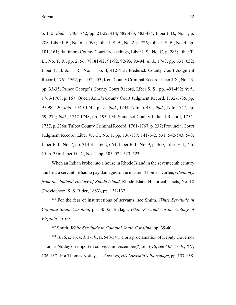p. 115; *ibid.*, 1740-1742, pp. 21-22, 414, 482-483, 483-484; Liber I. B., No. 1, p. 288; Liber I. B., No. 6, p. 593; Liber I. S. B., No. 2, p. 726; Liber I. S. B., No. 4, pp. 101, 161; Baltimore County Court Proceedings, Liber I. S., No. C, p. 283; Liber T. B., No. T. R., pp. 2, 56, 78, 81-82, 91-92, 92-93, 93-94; *ibid.*, 1743, pp. 631, 632; Liber T. B. & T. R., No. 1, pp. 4, 412-413; Frederick County Court Judgment Record, 1761-1762, pp. 452, 453; Kent County Criminal Record, Liber J. S., No. 23, pp. 33-35; Prince George's County Court Record, Liber S. S., pp. 491-492; *ibid.*, 1766-1768, p. 167; Queen Anne's County Court Judgment Record, 1732-1735, pp. 97-98, 420; *ibid.*, 1740-1742, p. 21; *ibid.*, 1744-1746, p. 481; *ibid.*, 1746-1747, pp. 59, 274; *ibid.*, 1747-1748, pp. 193-194; Somerset County Judicial Record, 1754- 1757, p. 236a; Talbot CountyCriminal Record, 1761-1767, p. 237; Provincial Court Judgment Record, Liber W. G., No. 1, pp. 136-137, 141-142, 531, 542-543, 543; Liber E. I., No. 7, pp. 314-315, 662, 663; Liber E. I., No. 9, p. 460; Liber E. I., No. 15, p. 336; Liber D. D., No. 1, pp. 505, 522-523, 523.

When an Indian broke into a house in Rhode Island in the seventeenth century and beat a servant he had to pay damages to the master. Thomas Durfee, *Gleanings from the Judicial History of Rhode Island*, Rhode Island Historical Tracts, No. 18 (Providence: S. S. Rider, 1883), pp. 131-132.

<sup>138</sup> For the fear of insurrections of servants, see Smith, *White Servitude in Colonial South Carolina*, pp. 30-35; Ballagh, *White Servitude in the Colony of Virginia* , p. 60.

<sup>139</sup> Smith, *White Servitude in Colonial South Carolina*, pp. 39-40.

 $140$  1676, c. 16, *Md. Arch.*, II, 540-541. For a proclamation of Deputy Governor Thomas Notley on imported convicts in December(?) of 1676, see *Md. Arch.*, XV, 136-137. For Thomas Notley, see Owings, *His Lordship's Patronage*, pp. 137-138.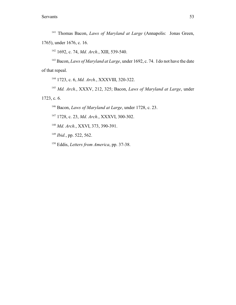<sup>141</sup> Thomas Bacon, *Laws of Maryland at Large* (Annapolis: Jonas Green, 1765), under 1676, c. 16.

<sup>142</sup> 1692, c. 74, *Md. Arch.*, XIII, 539-540.

<sup>143</sup> Bacon, *Laws of Maryland at Large*, under 1692, c. 74. I do not have the date of that repeal.

<sup>144</sup> 1723, c. 6, *Md. Arch.*, XXXVIII, 320-322.

<sup>145</sup> Md. Arch., XXXV, 212, 325; Bacon, *Laws of Maryland at Large*, under 1723, c. 6.

<sup>146</sup> Bacon, *Laws of Maryland at Large*, under 1728, c. 23.

<sup>147</sup> 1728, c. 23, *Md. Arch.*, XXXVI, 300-302.

<sup>148</sup> Md. Arch., XXVI, 373, 390-391.

<sup>149</sup> *Ibid.*, pp. 522, 562.

<sup>150</sup> Eddis, *Letters from America*, pp. 37-38.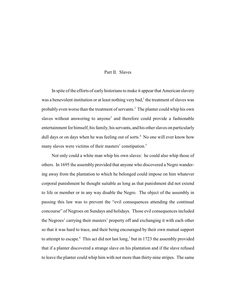## Part II. Slaves

In spite of the efforts of early historians to make it appear that American slavery was a benevolent institution or at least nothing very bad, $<sup>1</sup>$  the treatment of slaves was</sup> probably even worse than the treatment of servants.<sup>2</sup> The planter could whip his own slaves without answering to anyone<sup>3</sup> and therefore could provide a fashionable entertainment for himself, his family, his servants, and his other slaves on particularly dull days or on days when he was feeling out of sorts.<sup>4</sup> No one will ever know how many slaves were victims of their masters' constipation.<sup>5</sup>

Not only could a white man whip his own slaves: he could also whip those of others. In 1695 the assembly provided that anyone who discovered a Negro wandering away from the plantation to which he belonged could impose on him whatever corporal punishment he thought suitable as long as that punishment did not extend to life or member or in any way disable the Negro. The object of the assembly in passing this law was to prevent the "evil consequences attending the continual concourse" of Negroes on Sundays and holidays. Those evil consequences included the Negroes' carrying their masters' property off and exchanging it with each other so that it was hard to trace, and their being encouraged by their own mutual support to attempt to escape. This act did not last long, but in 1723 the assembly provided that if a planter discovered a strange slave on his plantation and if the slave refused to leave the planter could whip him with not more than thirty-nine stripes. The same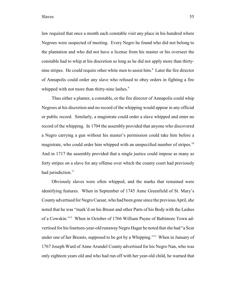law required that once a month each constable visit any place in his hundred where Negroes were suspected of meeting. Every Negro he found who did not belong to the plantation and who did not have a license from his master or his overseer the constable had to whip at his discretion so long as he did not apply more than thirtynine stripes. He could require other white men to assist him.<sup>8</sup> Later the fire director of Annapolis could order any slave who refused to obey orders in fighting a fire whipped with not more than thirty-nine lashes.<sup>9</sup>

Thus either a planter, a constable, or the fire director of Annapolis could whip Negroes at his discretion and no record of the whipping would appear in any official or public record. Similarly, a magistrate could order a slave whipped and enter no record of the whipping. In 1704 the assembly provided that anyone who discovered a Negro carrying a gun without his master's permission could take him before a magistrate, who could order him whipped with an unspecified number of stripes.<sup>10</sup> And in 1717 the assembly provided that a single justice could impose as many as forty stripes on a slave for any offense over which the county court had previously had jurisdiction.<sup>11</sup>

Obviously slaves were often whipped, and the marks that remained were identifying features. When in September of 1745 Anne Greenfield of St. Mary's County advertised for Negro Caesar, who had been gone since the previous April, she noted that he was "mark'd on his Breast and other Parts of his Body with the Lashes of a Cowskin."<sup>12</sup> When in October of 1766 William Payne of Baltimore Town advertised for his fourteen-year-old runaway Negro Hagar he noted that she had "a Scar under one of her Breasts, supposed to be got by a Whipping."<sup>13</sup> When in January of 1767 Joseph Ward of Anne Arundel County advertised for his Negro Nan, who was only eighteen years old and who had run off with her year-old child, he warned that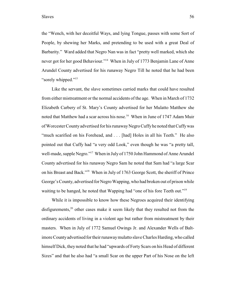the "Wench, with her deceitful Ways, and lying Tongue, passes with some Sort of People, by shewing her Marks, and pretending to be used with a great Deal of Barbarity." Ward added that Negro Nan was in fact "pretty well marked, which she never got for her good Behaviour."<sup>14</sup> When in July of 1773 Benjamin Lane of Anne Arundel County advertised for his runaway Negro Till he noted that he had been "sorely whipped."<sup>15</sup>

Like the servant, the slave sometimes carried marks that could have resulted from either mistreatment or the normal accidents of the age. When in March of 1732 Elizabeth Carbery of St. Mary's County advertised for her Mulatto Matthew she noted that Matthew had a scar across his nose.<sup>16</sup> When in June of 1747 Adam Muir of Worcester County advertised for his runawayNegro Cuffy he noted that Cuffy was "much scarified on his Forehead, and . . . [had] Holes in all his Teeth." He also pointed out that Cuffy had "a very odd Look," even though he was "a pretty tall, well-made, supple Negro."<sup>17</sup> When in July of 1750 John Hammond of Anne Arundel County advertised for his runaway Negro Sam he noted that Sam had "a large Scar on his Breast and Back."<sup>18</sup> When in July of 1763 George Scott, the sheriff of Prince George's County, advertised for Negro Wapping, who had broken out of prison while waiting to be hanged, he noted that Wapping had "one of his fore Teeth out."<sup>19</sup>

While it is impossible to know how these Negroes acquired their identifying disfigurements, $20$  other cases make it seem likely that they resulted not from the ordinary accidents of living in a violent age but rather from mistreatment by their masters. When in July of 1772 Samuel Owings Jr. and Alexander Wells of Baltimore County advertised for their runaway mulatto slave Charles Harding, who called himself Dick, they noted that he had "upwards of Forty Scars on his Head of different Sizes" and that he also had "a small Scar on the upper Part of his Nose on the left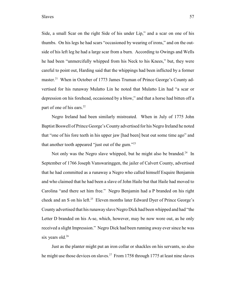Side, a small Scar on the right Side of his under Lip," and a scar on one of his thumbs. On his legs he had scars "occasioned by wearing of irons," and on the outside of his left leg he had a large scar from a burn. According to Owings and Wells he had been "unmercifully whipped from his Neck to his Knees," but, they were careful to point out, Harding said that the whippings had been inflicted by a former master.<sup>21</sup> When in October of 1773 James Truman of Prince George's County advertised for his runaway Mulatto Lin he noted that Mulatto Lin had "a scar or depression on his forehead, occasioned by a blow," and that a horse had bitten off a part of one of his ears.<sup>22</sup>

Negro Ireland had been similarly mistreated. When in July of 1775 John Baptist Boswell of Prince George's County advertised for his Negro Ireland he noted that "one of his fore teeth in his upper jaw [had been] beat out some time ago" and that another tooth appeared "just out of the gum."<sup>23</sup>

Not only was the Negro slave whipped, but he might also be branded.<sup>24</sup> In September of 1766 Joseph Vanswaringgen, the jailer of Calvert County, advertised that he had committed as a runaway a Negro who called himself Esquire Benjamin and who claimed that he had been a slave of John Haile but that Haile had moved to Carolina "and there set him free." Negro Benjamin had a P branded on his right cheek and an S on his left.<sup>25</sup> Eleven months later Edward Dyer of Prince George's County advertised that his runaway slave Negro Dick had been whipped and had "the Letter D branded on his A-se, which, however, may be now wore out, as he only received a slight Impression." Negro Dick had been running away ever since he was six years old.<sup>26</sup>

Just as the planter might put an iron collar or shackles on his servants, so also he might use those devices on slaves.<sup>27</sup> From 1758 through 1775 at least nine slaves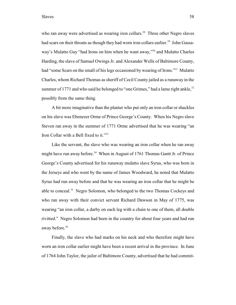Slaves 58

who ran away were advertised as wearing iron collars.<sup>28</sup> Three other Negro slaves had scars on their throats as though they had worn iron collars earlier.<sup>29</sup> John Gassaway's Mulatto Guy "had Irons on him when he want away,"<sup>30</sup> and Mulatto Charles Harding, the slave of Samuel Owings Jr. and Alexander Wells of Baltimore County, had "some Scars on the small of his legs occasioned by wearing of Irons."<sup>31</sup> Mulatto Charles, whom Richard Thomas as sheriff of Cecil County jailed as a runaway in the summer of 1771 and who said he belonged to "one Grimes," had a lame right ankle, $32$ possibly from the same thing.

A bit more imaginative than the planter who put only an iron collar or shackles on his slave was Ebenezer Orme of Prince George's County. When his Negro slave Steven ran away in the summer of 1771 Orme advertised that he was wearing "an Iron Collar with a Bell fixed to it."<sup>33</sup>

Like the servant, the slave who was wearing an iron collar when he ran away might have run away before.<sup>34</sup> When in August of 1761 Thomas Gantt Jr. of Prince George's County advertised for his runaway mulatto slave Syrus, who was born in the Jerseys and who went by the name of James Woodward, he noted that Mulatto Syrus had run away before and that he was wearing an iron collar that he might be able to conceal.<sup>35</sup> Negro Solomon, who belonged to the two Thomas Cockeys and who ran away with their convict servant Richard Dawson in May of 1775, was wearing "an iron collar, a darby on each leg with a chain to one of them, all double rivitted." Negro Solomon had been in the country for about four years and had run away before.<sup>36</sup>

Finally, the slave who had marks on his neck and who therefore might have worn an iron collar earlier might have been a recent arrival in the province. In June of 1764 John Taylor, the jailer of Baltimore County, advertised that he had commit-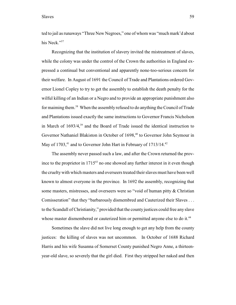## Slaves 59

ted to jail as runaways "Three New Negroes," one of whom was "much mark'd about his Neck."<sup>37</sup>

Recognizing that the institution of slavery invited the mistreatment of slaves, while the colony was under the control of the Crown the authorities in England expressed a continual but conventional and apparently none-too-serious concern for their welfare. In August of 1691 the Council of Trade and Plantations ordered Governor Lionel Copley to try to get the assembly to establish the death penalty for the wilful killing of an Indian or a Negro and to provide an appropriate punishment also for maiming them.<sup>38</sup> When the assembly refused to do anything the Council of Trade and Plantations issued exactly the same instructions to Governor Francis Nicholson in March of  $1693/4$ ,<sup>39</sup> and the Board of Trade issued the identical instruction to Governor Nathaniel Blakiston in October of 1698,<sup>40</sup> to Governor John Seymour in May of  $1703$ ,  $41$  and to Governor John Hart in February of  $1713/14$ ,  $42$ 

The assembly never passed such a law, and after the Crown returned the province to the proprietor in  $1715^{43}$  no one showed any further interest in it even though the cruelty with which masters and overseers treated their slaves must have been well known to almost everyone in the province. In 1692 the assembly, recognizing that some masters, mistresses, and overseers were so "void of human pitty & Christian Comisseration" that they "barbarously dismembred and Cauterized their Slaves . . . to the Scandall of Christianity," provided that the county justices could free any slave whose master dismembered or cauterized him or permitted anyone else to do it.<sup>44</sup>

Sometimes the slave did not live long enough to get any help from the county justices: the killing of slaves was not uncommon. In October of 1688 Richard Harris and his wife Susanna of Somerset County punished Negro Anne, a thirteenyear-old slave, so severely that the girl died. First they stripped her naked and then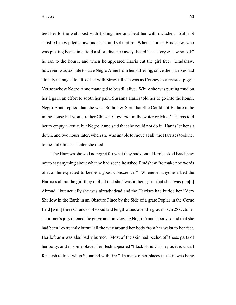tied her to the well post with fishing line and beat her with switches. Still not satisfied, they piled straw under her and set it afire. When Thomas Bradshaw, who was picking beans in a field a short distance away, heard "a sad cry & saw smoak" he ran to the house, and when he appeared Harris cut the girl free. Bradshaw, however, was too late to save Negro Anne from her suffering, since the Harrises had already managed to "Rost her with Straw till she was as Crispey as a roasted pigg." Yet somehow Negro Anne managed to be still alive. While she was putting mud on her legs in an effort to sooth her pain, Susanna Harris told her to go into the house. Negro Anne replied that she was "So hott & Sore that She Could not Endure to be in the house but would rather Chuse to Ley [*sic*] in the water or Mud." Harris told her to empty a kettle, but Negro Anne said that she could not do it. Harris let her sit down, and two hours later, when she was unable to move at all, the Harrises took her to the milk house. Later she died.

The Harrises showed no regret for what they had done. Harris asked Bradshaw not to say anything about what he had seen: he asked Bradshaw "to make noe words of it as he expected to keepe a good Conscience." Whenever anyone asked the Harrises about the girl they replied that she "was in being" or that she "was gon[e] Abroad," but actually she was already dead and the Harrises had buried her "Very Shallow in the Earth in an Obscure Place by the Side of a grate Poplar in the Corne field [with] three Chuncks of wood laid lengthwaies over the grave." On 28 October a coroner's jury opened the grave and on viewing Negro Anne's body found that she had been "extreamly burnt" all the way around her body from her waist to her feet. Her left arm was also badly burned. Most of the skin had peeled off those parts of her body, and in some places her flesh appeared "blackish & Crispey as it is usuall for flesh to look when Scoarchd with fire." In many other places the skin was lying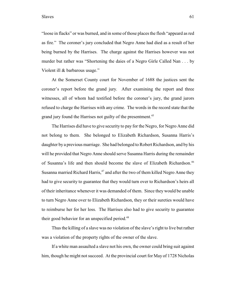"loose in flacks" or was burned, and in some of those places the flesh "appeard as red as fire." The coroner's jury concluded that Negro Anne had died as a result of her being burned by the Harrises. The charge against the Harrises however was not murder but rather was "Shortening the daies of a Negro Girle Called Nan . . . by Violent ill & barbarous usage."

At the Somerset County court for November of 1688 the justices sent the coroner's report before the grand jury. After examining the report and three witnesses, all of whom had testified before the coroner's jury, the grand jurors refused to charge the Harrises with any crime. The words in the record state that the grand jury found the Harrises not guilty of the presentment.<sup>45</sup>

The Harrises did have to give security to pay for the Negro, for Negro Anne did not belong to them. She belonged to Elizabeth Richardson, Susanna Harris's daughter by a previous marriage. She had belonged to Robert Richardson, and by his will he provided that Negro Anne should serve Susanna Harris during the remainder of Susanna's life and then should become the slave of Elizabeth Richardson.<sup>46</sup> Susanna married Richard Harris, $47$  and after the two of them killed Negro Anne they had to give security to guarantee that they would turn over to Richardson's heirs all of their inheritance whenever it was demanded of them. Since they would be unable to turn Negro Anne over to Elizabeth Richardson, they or their sureties would have to reimburse her for her loss. The Harrises also had to give security to guarantee their good behavior for an unspecified period.<sup>48</sup>

Thus the killing of a slave was no violation of the slave's right to live but rather was a violation of the property rights of the owner of the slave.

If a white man assaulted a slave not his own, the owner could bring suit against him, though he might not succeed. At the provincial court for May of 1728 Nicholas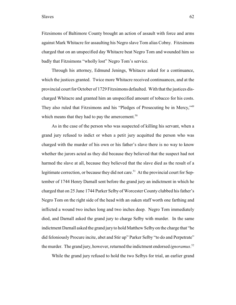## Slaves 62

Fitzsimons of Baltimore County brought an action of assault with force and arms against Mark Whitacre for assaulting his Negro slave Tom alias Cobny. Fitzsimons charged that on an unspecified day Whitacre beat Negro Tom and wounded him so badly that Fitzsimons "wholly lost" Negro Tom's service.

Through his attorney, Edmund Jenings, Whitacre asked for a continuance, which the justices granted. Twice more Whitacre received continuances, and at the provincial court for October of 1729 Fitzsimons defaulted. With that the justices discharged Whitacre and granted him an unspecified amount of tobacco for his costs. They also ruled that Fitzsimons and his "Pledges of Prosecuting be in Mercy,"<sup>49</sup> which means that they had to pay the amercement. $50$ 

As in the case of the person who was suspected of killing his servant, when a grand jury refused to indict or when a petit jury acquitted the person who was charged with the murder of his own or his father's slave there is no way to know whether the jurors acted as they did because they believed that the suspect had not harmed the slave at all, because they believed that the slave died as the result of a legitimate correction, or because they did not care.<sup>51</sup> At the provincial court for September of 1744 Henry Darnall sent before the grand jury an indictment in which he charged that on 25 June 1744 Parker Selby of Worcester County clubbed his father's Negro Tom on the right side of the head with an oaken staff worth one farthing and inflicted a wound two inches long and two inches deep. Negro Tom immediately died, and Darnall asked the grand jury to charge Selby with murder. In the same indictment Darnall asked the grand jury to hold Matthew Selby on the charge that "he did feloniously Procure incite, abet and Stir up" Parker Selby "to do and Perpetrate" the murder. The grand jury, however, returned the indictment endorsed *ignoramus*. 52

While the grand jury refused to hold the two Selbys for trial, an earlier grand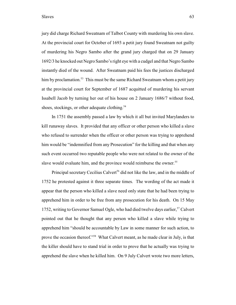jury did charge Richard Sweatnam of Talbot County with murdering his own slave. At the provincial court for October of 1693 a petit jury found Sweatnam not guilty of murdering his Negro Sambo after the grand jury charged that on 29 January 1692/3 he knocked out Negro Sambo's right eye with a cudgel and that Negro Sambo instantly died of the wound. After Sweatnam paid his fees the justices discharged him by proclamation.<sup>53</sup> This must be the same Richard Sweatnam whom a petit jury at the provincial court for September of 1687 acquitted of murdering his servant Issabell Jacob by turning her out of his house on 2 January 1686/7 without food, shoes, stockings, or other adequate clothing.<sup>54</sup>

In 1751 the assembly passed a law by which it all but invited Marylanders to kill runaway slaves. It provided that any officer or other person who killed a slave who refused to surrender when the officer or other person was trying to apprehend him would be "indemnified from any Prosecution" for the killing and that when any such event occurred two reputable people who were not related to the owner of the slave would evaluate him, and the province would reimburse the owner.<sup>55</sup>

Principal secretary Cecilius Calvert<sup>56</sup> did not like the law, and in the middle of 1752 he protested against it three separate times. The wording of the act made it appear that the person who killed a slave need only state that he had been trying to apprehend him in order to be free from any prosecution for his death. On 15 May 1752, writing to Governor Samuel Ogle, who had died twelve days earlier,<sup>57</sup> Calvert pointed out that he thought that any person who killed a slave while trying to apprehend him "should be accountable by Law in some manner for such action, to prove the occasion thereof."<sup>58</sup> What Calvert meant, as he made clear in July, is that the killer should have to stand trial in order to prove that he actually was trying to apprehend the slave when he killed him. On 9 July Calvert wrote two more letters,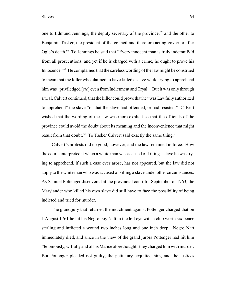Slaves 64

one to Edmund Jennings, the deputy secretary of the province,<sup>59</sup> and the other to Benjamin Tasker, the president of the council and therefore acting governor after Ogle's death. $60$  To Jennings he said that "Every innocent man is truly indemnify'd from all prosecutions, and yet if he is charged with a crime, he ought to prove his Innocence."<sup>61</sup> He complained that the careless wording of the law might be construed to mean that the killer who claimed to have killed a slave while trying to apprehend him was "priviledged [*sic*] even from Indictment and Tryal." But it was only through a trial, Calvert continued, that the killer could prove that he "was Lawfully authorized to apprehend" the slave "or that the slave had offended, or had resisted." Calvert wished that the wording of the law was more explicit so that the officials of the province could avoid the doubt about its meaning and the inconvenience that might result from that doubt.<sup>62</sup> To Tasker Calvert said exactly the same thing.<sup>63</sup>

Calvert's protests did no good, however, and the law remained in force. How the courts interpreted it when a white man was accused of killing a slave he was trying to apprehend, if such a case ever arose, has not appeared, but the law did not apply to the whiteman who was accused of killing a slave under other circumstances. As Samuel Pottenger discovered at the provincial court for September of 1763, the Marylander who killed his own slave did still have to face the possibility of being indicted and tried for murder.

The grand jury that returned the indictment against Pottenger charged that on 1 August 1761 he hit his Negro boy Natt in the left eye with a club worth six pence sterling and inflicted a wound two inches long and one inch deep. Negro Natt immediately died, and since in the view of the grand jurors Pottenger had hit him "feloniously, wilfully and of his Malice aforethought" they charged him with murder. But Pottenger pleaded not guilty, the petit jury acquitted him, and the justices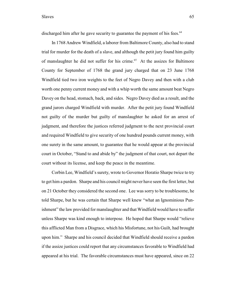discharged him after he gave security to guarantee the payment of his fees.<sup>64</sup>

In 1768 Andrew Windfield, a laborer from Baltimore County, also had to stand trial for murder for the death of a slave, and although the petit jury found him guilty of manslaughter he did not suffer for his crime.<sup>65</sup> At the assizes for Baltimore County for September of 1768 the grand jury charged that on 23 June 1768 Windfield tied two iron weights to the feet of Negro Davey and then with a club worth one penny current money and with a whip worth the same amount beat Negro Davey on the head, stomach, back, and sides. Negro Davey died as a result, and the grand jurors charged Windfield with murder. After the petit jury found Windfield not guilty of the murder but guilty of manslaughter he asked for an arrest of judgment, and therefore the justices referred judgment to the next provincial court and required Windfield to give security of one hundred pounds current money, with one surety in the same amount, to guarantee that he would appear at the provincial court in October, "Stand to and abide by" the judgment of that court, not depart the court without its license, and keep the peace in the meantime.

Corbin Lee, Windfield's surety, wrote to Governor Horatio Sharpe twice to try to get him a pardon. Sharpe and his council might never have seen the first letter, but on 21 October they considered the second one. Lee was sorry to be troublesome, he told Sharpe, but he was certain that Sharpe well knew "what an Ignominious Punishment" the law provided for manslaughter and that Windfield would have to suffer unless Sharpe was kind enough to interpose. He hoped that Sharpe would "relieve this afflicted Man from a Disgrace, which his Misfortune, not his Guilt, had brought upon him." Sharpe and his council decided that Windfield should receive a pardon if the assize justices could report that any circumstances favorable to Windfield had appeared at his trial. The favorable circumstances must have appeared, since on 22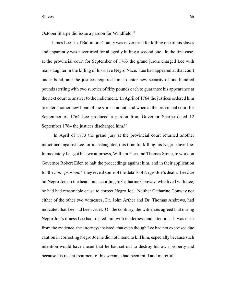October Sharpe did issue a pardon for Windfield.<sup>66</sup>

James Lee Jr. of Baltimore County was never tried for killing one of his slaves and apparently was never tried for allegedly killing a second one. In the first case, at the provincial court for September of 1763 the grand jurors charged Lee with manslaughter in the killing of his slave Negro Nace. Lee had appeared at that court under bond, and the justices required him to enter new security of one hundred pounds sterling with two sureties of fifty pounds each to guarantee his appearance at the next court to answer to the indictment. In April of 1764 the justices ordered him to enter another new bond of the same amount, and when at the provincial court for September of 1764 Lee produced a pardon from Governor Sharpe dated 12 September 1764 the justices discharged him. $67$ 

In April of 1773 the grand jury at the provincial court returned another indictment against Lee for manslaughter, this time for killing his Negro slave Joe. Immediately Lee got his two attorneys, William Paca and Thomas Stone, to work on Governor Robert Eden to halt the proceedings against him, and in their application for the *nolle prosequi*<sup>68</sup> they reveal some of the details of Negro Joe's death. Lee *had* hit Negro Joe on the head, but according to Catharine Conway, who lived with Lee, he had had reasonable cause to correct Negro Joe. Neither Catharine Conway nor either of the other two witnesses, Dr. John Arther and Dr. Thomas Andrews, had indicated that Lee had been cruel. On the contrary, the witnesses agreed that during Negro Joe's illness Lee had treated him with tenderness and attention. It was clear from the evidence, the attorneys insisted, that even though Lee had not exercised due caution in correcting Negro Joe he did not intend to kill him, especially because such intention would have meant that he had set out to destroy his own property and because his recent treatment of his servants had been mild and merciful.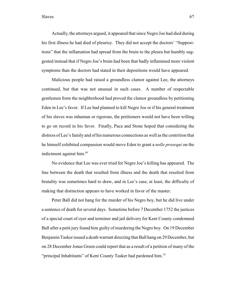Actually, the attorneys argued, it appeared that since Negro Joe had died during his first illness he had died of pleurisy. They did not accept the doctors' "Suppositions" that the inflamation had spread from the brain to the pleura but humbly suggested instead that if Negro Joe's brain had been that badly inflammed more violent symptoms than the doctors had stated in their depositions would have appeared.

Malicious people had raised a groundless clamor against Lee, the attorneys continued, but that was not unusual in such cases. A number of respectable gentlemen from the neighborhood had proved the clamor groundless by petitioning Eden in Lee's favor. If Lee had planned to kill Negro Joe or if his general treatment of his slaves was inhuman or rigorous, the petitioners would not have been willing to go on record in his favor. Finally, Paca and Stone hoped that considering the distress of Lee's family and of his numerous connections as well as the contrition that he himself exhibited compassion would move Eden to grant a *nolle prosequi* on the indictment against him.<sup>69</sup>

No evidence that Lee was ever tried for Negro Joe's killing has appeared. The line between the death that resulted from illness and the death that resulted from brutality was sometimes hard to draw, and in Lee's case, at least, the difficulty of making that distinction appears to have worked in favor of the master.

Peter Ball did not hang for the murder of his Negro boy, but he did live under a sentence of death for several days. Sometime before 7 December 1752 the justices of a special court of oyer and terminer and jail delivery for Kent County condemned Ball after a petit jury found him guilty of murdering the Negro boy. On 19 December Benjamin Tasker issued a death warrant directing that Ball hang on 29 December, but on 28 December Jonas Green could report that as a result of a petition of many of the "principal Inhabitants" of Kent County Tasker had pardoned him.<sup>70</sup>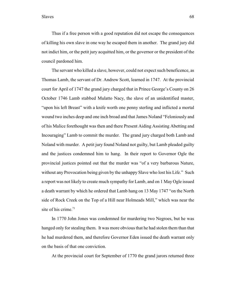Thus if a free person with a good reputation did not escape the consequences of killing his own slave in one way he escaped them in another. The grand jury did not indict him, or the petit jury acquitted him, or the governor or the president of the council pardoned him.

The servant who killed a slave, however, could not expect such beneficence, as Thomas Lamb, the servant of Dr. Andrew Scott, learned in 1747. At the provincial court for April of 1747 the grand jury charged that in Prince George's County on 26 October 1746 Lamb stabbed Mulatto Nacy, the slave of an unidentified master, "upon his left Breast" with a knife worth one penny sterling and inflicted a mortal wound two inches deep and one inch broad and that James Noland "Feloniously and of his Malice forethought was then and there Present Aiding Assisting Abetting and Incouraging" Lamb to commit the murder. The grand jury charged both Lamb and Noland with murder. A petit jury found Noland not guilty, but Lamb pleaded guilty and the justices condemned him to hang. In their report to Governor Ogle the provincial justices pointed out that the murder was "of a very barbarous Nature, without any Provocation being given by the unhappy Slave who lost his Life." Such a report was not likely to create much sympathy for Lamb, and on 1 May Ogle issued a death warrant by which he ordered that Lamb hang on 13 May 1747 "on the North side of Rock Creek on the Top of a Hill near Holmeads Mill," which was near the site of his crime. $71$ 

In 1770 John Jones was condemned for murdering two Negroes, but he was hanged only for stealing them. It was more obvious that he had stolen them than that he had murdered them, and therefore Governor Eden issued the death warrant only on the basis of that one conviction.

At the provincial court for September of 1770 the grand jurors returned three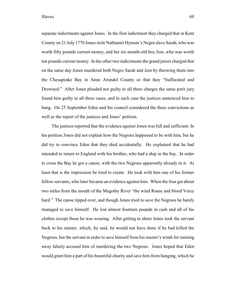separate indictments against Jones. In the first indictment they charged that in Kent County on 21 July 1770 Jones stole Nathaniel Hynson's Negro slave Sarah, who was worth fifty pounds current money, and her six-month-old boy Jem, who was worth ten pounds current money. In the other two indictments the grand jurors charged that on the same day Jones murdered both Negro Sarah and Jem by throwing them into the Chesapeake Bay in Anne Arundel County so that they "Suffocated and Drowned." After Jones pleaded not guilty to all three charges the same petit jury found him guilty in all three cases, and in each case the justices sentenced him to hang. On 25 September Eden and his council considered the three convictions as well as the report of the justices and Jones' petition.

The justices reported that the evidence against Jones was full and sufficient. In his petition Jones did not explain how the Negroes happened to be with him, but he did try to convince Eden that they died accidentally. He explained that he had intended to return to England with his brother, who had a ship in the bay. In order to cross the Bay he got a canoe, with the two Negroes apparently already in it. At least that is the impression he tried to create. He took with him one of his former fellow servants, who later became an evidence against him. When the four got about two miles from the mouth of the Magothy River "the wind Roase and bloed Verey hard." The canoe tipped over, and though Jones tried to save the Negroes he barely managed to save himself. He lost almost fourteen pounds in cash and all of his clothes except those he was wearing. After getting to shore Jones took the servant back to his master, which, he said, he would not have done if he had killed the Negroes, but the servant in order to save himself from his master's wrath for running away falsely accused him of murdering the two Negroes. Jones hoped that Eden would grant him a part of his bountiful charity and save him from hanging, which he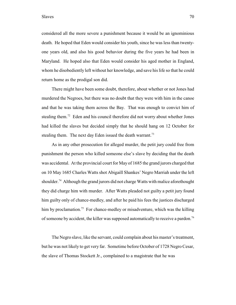considered all the more severe a punishment because it would be an ignominious death. He hoped that Eden would consider his youth, since he was less than twentyone years old, and also his good behavior during the five years he had been in Maryland. He hoped also that Eden would consider his aged mother in England, whom he disobediently left without her knowledge, and save his life so that he could return home as the prodigal son did.

There might have been some doubt, therefore, about whether or not Jones had murdered the Negroes, but there was no doubt that they were with him in the canoe and that he was taking them across the Bay. That was enough to convict him of stealing them.<sup> $72$ </sup> Eden and his council therefore did not worry about whether Jones had killed the slaves but decided simply that he should hang on 12 October for stealing them. The next day Eden issued the death warrant.<sup>73</sup>

As in any other prosecution for alleged murder, the petit jury could free from punishment the person who killed someone else's slave by deciding that the death was accidental. At the provincial court for May of 1685 the grand jurors charged that on 10 May 1685 Charles Watts shot Abigaill Shankes' Negro Marriah under the left shoulder.<sup>74</sup> Although the grand jurors did not charge Watts with malice aforethought they did charge him with murder. After Watts pleaded not guilty a petit jury found him guilty only of chance-medley, and after he paid his fees the justices discharged him by proclamation.<sup>75</sup> For chance-medley or misadventure, which was the killing of someone by accident, the killer was supposed automatically to receive a pardon.<sup>76</sup>

The Negro slave, like the servant, could complain about his master's treatment, but he was not likely to get very far. Sometime before October of 1728 Negro Cesar, the slave of Thomas Stockett Jr., complained to a magistrate that he was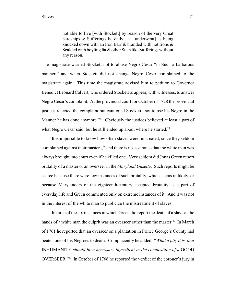not able to live [with Stockett] by reason of the very Great hardships & Sufferings he daily . . . [underwent] as being knocked down with an Iron Barr & branded with hot Irons & Scalded with boyling fat & other Such like Sufferings without any reason.

The magistrate warned Stockett not to abuse Negro Cesar "in Such a barbarous manner," and when Stockett did not change Negro Cesar complained to the magistrate again. This time the magistrate advised him to petition to Governor Benedict Leonard Calvert, who ordered Stockett to appear, with witnesses, to answer Negro Cesar's complaint. At the provincial court for October of 1728 the provincial justices rejected the complaint but cautioned Stockett "not to use his Negro in the Manner he has done anymore."<sup> $77$ </sup> Obviously the justices believed at least a part of what Negro Cesar said, but he still ended up about where he started.<sup>78</sup>

It is impossible to know how often slaves were mistreated, since they seldom complained against their masters,<sup>79</sup> and there is no assurance that the white man was always brought into court even if he killed one. Very seldom did Jonas Green report brutality of a master or an overseer in the *Maryland Gazette*. Such reports might be scarce because there were few instances of such brutality, which seems unlikely, or because Marylanders of the eighteenth-century accepted brutality as a part of everyday life and Green commented only on extreme instances of it. And it was not in the interest of the white man to publicize the mistreatment of slaves.

In three of the six instances in which Green did report the death of a slave at the hands of a white man the culprit was an overseer rather than the master.<sup>80</sup> In March of 1761 he reported that an overseer on a plantation in Prince George's County had beaten one of his Negroes to death. Complacently he added, *"What a pity it is, that* INHUMANITY *should be a necessary ingredient in the composition of a* GOOD OVERSEER."<sup>81</sup> In October of 1766 he reported the verdict of the coroner's jury in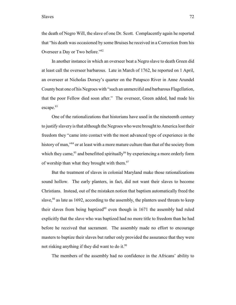Slaves 72

the death of Negro Will, the slave of one Dr. Scott. Complacently again he reported that "his death was occasioned by some Bruises he received in a Correction from his Overseer a Day or Two before."<sup>82</sup>

In another instance in which an overseer beat a Negro slave to death Green did at least call the overseer barbarous. Late in March of 1762, he reported on 1 April, an overseer at Nicholas Dorsey's quarter on the Patapsco River in Anne Arundel County beat one of his Negroes with "such an unmerciful and barbarous Flagellation, that the poor Fellow died soon after." The overseer, Green added, had made his escape.<sup>83</sup>

One of the rationalizations that historians have used in the nineteenth century to justify slavery is that although the Negroes who were brought to America lost their freedom they "came into contact with the most advanced type of experience in the history of man,"<sup>84</sup> or at least with a more mature culture than that of the society from which they came,  ${}^{85}$  and benefitted spiritually  ${}^{86}$  by experiencing a more orderly form of worship than what they brought with them.<sup>87</sup>

But the treatment of slaves in colonial Maryland make those rationalizations sound hollow. The early planters, in fact, did not want their slaves to become Christians. Instead, out of the mistaken notion that baptism automatically freed the slave,  $88$  as late as 1692, according to the assembly, the planters used threats to keep their slaves from being baptized $89$  even though in 1671 the assembly had ruled explicitly that the slave who was baptized had no more title to freedom than he had before he received that sacrament. The assembly made no effort to encourage masters to baptize their slaves but rather only provided the assurance that they were not risking anything if they did want to do it.<sup>90</sup>

The members of the assembly had no confidence in the Africans' ability to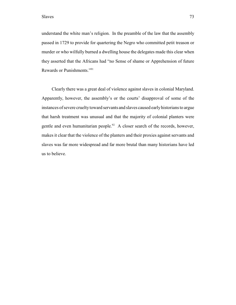understand the white man's religion. In the preamble of the law that the assembly passed in 1729 to provide for quartering the Negro who committed petit treason or murder or who wilfully burned a dwelling house the delegates made this clear when they asserted that the Africans had "no Sense of shame or Apprehension of future Rewards or Punishments."<sup>91</sup>

Clearly there was a great deal of violence against slaves in colonial Maryland. Apparently, however, the assembly's or the courts' disapproval of some of the instances of severe cruelty toward servants and slaves caused early historians to argue that harsh treatment was unusual and that the majority of colonial planters were gentle and even humanitarian people. $92$  A closer search of the records, however, makes it clear that the violence of the planters and their proxies against servants and slaves was far more widespread and far more brutal than many historians have led us to believe.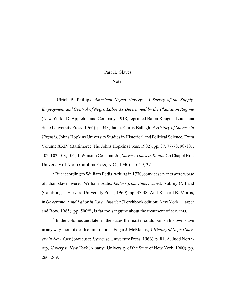## Part II. Slaves

## **Notes**

<sup>1</sup> Ulrich B. Phillips, *American Negro Slavery: A Survey of the Supply*, *Employment and Control of Negro Labor As Determined by the Plantation Regime* (New York: D. Appleton and Company, 1918; reprinted Baton Rouge: Louisiana State University Press, 1966), p. 343; James Curtis Ballagh, *A History of Slavery in Virginia*, Johns Hopkins University Studies in Historical and Political Science, Extra Volume XXIV (Baltimore: The Johns Hopkins Press, 1902), pp. 37, 77-78, 98-101, 102, 102-103, 106; J. Winston Coleman Jr., *Slavery Times in Kentucky* (Chapel Hill: University of North Carolina Press, N.C., 1940), pp. 29, 32.

 $^2$ But according to William Eddis, writing in 1770, convict servants were worse off than slaves were. William Eddis, *Letters from America*, ed. Aubrey C. Land (Cambridge: Harvard University Press, 1969), pp. 37-38. And Richard B. Morris, in *Government and Labor in Early America* (Torchbook edition; New York: Harper and Row, 1965), pp. 500ff., is far too sanguine about the treatment of servants.

 $3$  In the colonies and later in the states the master could punish his own slave in any way short of death or mutilation. Edgar J. McManus, *A History of Negro Slavery in New York* (Syracuse: Syracuse University Press, 1966), p. 81; A. Judd Northrup, *Slavery in New York* (Albany: University of the State of New York, 1900), pp. 260, 269.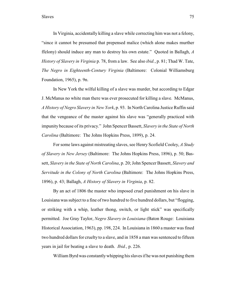In Virginia, accidentally killing a slave while correcting him was not a felony, "since it cannot be presumed that prepensed malice (which alone makes murther ffelony) should induce any man to destroy his own estate." Quoted in Ballagh, *A History of Slavery in Virginia* p. 78, from a law. See also *ibid.*, p. 81; Thad W. Tate, *The Negro in Eighteenth-Century Virginia* (Baltimore: Colonial Williamsburg Foundation, 1965), p. 9n.

In New York the wilful killing of a slave was murder, but according to Edgar J. McManus no white man there was ever prosecuted for killing a slave. McManus, *A History of Negro Slavery in New York*, p. 93. In North Carolina Justice Ruffin said that the vengeance of the master against his slave was "generally practiced with impunity because of its privacy." John Spencer Bassett, *Slavery in the State of North Carolina* (Baltimore: The Johns Hopkins Press, 1899), p. 24.

For some laws against mistreating slaves, see Henry Scofield Cooley, *A Study of Slavery in New Jersey* (Baltimore: The Johns Hopkins Press, 1896), p. 50; Bassett, *Slavery in the State of North Carolina*, p. 20; John Spencer Bassett, *Slavery and Servitude in the Colony of North Carolina* (Baltimore: The Johns Hopkins Press, 1896), p. 43; Ballagh, *A History of Slavery in Virginia*, p. 82.

By an act of 1806 the master who imposed cruel punishment on his slave in Louisiana was subject to a fine of two hundred to five hundred dollars, but "flogging, or striking with a whip, leather thong, switch, or light stick" was specifically permitted. Joe Gray Taylor, *Negro Slavery in Louisiana* (Baton Rouge: Louisiana Historical Association, 1963), pp. 198, 224. In Louisiana in 1860 a master was fined two hundred dollars for cruelty to a slave, and in 1858 a man was sentenced to fifteen years in jail for beating a slave to death. *Ibid.*, p. 226.

William Byrd was constantlywhipping his slaves if he was not punishing them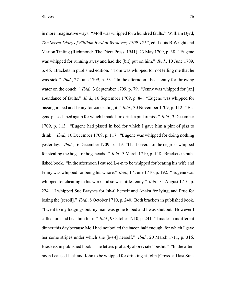in more imaginative ways. "Moll was whipped for a hundred faults." William Byrd, *The Secret Diary of William Byrd of Westover, 1709-1712*, ed. Louis B Wright and Marion Tinling (Richmond: The Dietz Press, 1941), 23 May 1709, p. 38. "Eugene was whipped for running away and had the [bit] put on him." *Ibid.*, 10 June 1709, p. 46. Brackets in published edition. "Tom was whipped for not telling me that he was sick." *Ibid.*, 27 June 1709, p. 53. "In the afternoon I beat Jenny for throwing water on the couch." *Ibid.*, 3 September 1709, p. 79. "Jenny was whipped for [an] abundance of faults." *Ibid.*, 16 September 1709, p. 84. "Eugene was whipped for pissing in bed and Jenny for concealing it." *Ibid.*, 30 November 1709, p. 112. "Eugene pissed abed again for which I made him drink a pint of piss." *Ibid.*, 3 December 1709, p. 113. "Eugene had pissed in bed for which I gave him a pint of piss to drink." *Ibid.*, 10 December 1709, p. 117. "Eugene was whipped for doing nothing yesterday." *Ibid.*, 16 December 1709, p. 119. "I had several of the negroes whipped for stealing the hogs [or hogsheads]." *Ibid.*, 3 March 1710, p. 148. Brackets in published book. "In the afternoon I caused L-s-n to be whipped for beating his wife and Jenny was whipped for being his whore." *Ibid.*, 17 June 1710, p. 192. "Eugene was whipped for cheating in his work and so was little Jenny." *Ibid.*, 31 August 1710, p. 224. "I whipped Sue Braynes for [sh-t] herself and Anaka for lying, and Prue for losing the [scroll]." *Ibid.*, 8 October 1710, p. 240. Both brackets in published book. "I went to my lodgings but my man was gone to bed and I was shut out. However I called him and beat him for it." *Ibid.*, 9 October 1710, p. 241. "I made an indifferent dinner this day because Moll had not boiled the bacon half enough, for which I gave her some stripes under which she [b-s-t] herself." *Ibid.*, 20 March 1711, p. 316. Brackets in published book. The letters probably abbreviate "beshit." "In the afternoon I caused Jack and John to be whipped for drinking at John [Cross] all last Sun-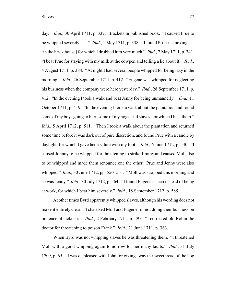day." *Ibid.*, 30 April 1711, p. 337. Brackets in published book. "I caused Prue to be whipped severely . . . ." *Ibid.*, 1 May 1711, p. 338. "I found P-t-s-n smoking . . . [in the brick house] for which I drubbed him very much." *Ibid.*, 7 May 1711, p. 341. "I beat Prue for staying with my milk at the cowpen and telling a lie about it." *Ibid.*, 4 August 1711, p. 384. "At night I had several people whipped for being lazy in the morning." *Ibid.*, 26 September 1711, p. 412. "Eugene was whipped for neglecting his business when the company were here yesterday." *Ibid.*, 28 September 1711, p. 412. "In the evening I took a walk and beat Jenny for being unmannerly." *Ibid.*, 11 October 1711, p. 419. "In the evening I took a walk about the plantation and found some of my boys going to burn some of my hogshead staves, for which I beat them." *Ibid.*, 5 April 1712, p. 511. "Then I took a walk about the plantation and returned some time before it was dark out of pure discretion, and found Prue with a candle by daylight, for which I gave her a salute with my foot." *Ibid.*, 6 June 1712, p. 540. "I caused Johnny to be whipped for threatening to strike Jimmy and caused Moll also to be whipped and made them renounce one the other. Prue and Jenny were also whipped." *Ibid.*, 30 June 1712, pp. 550-551. "Moll was strapped this morning and so was Jenny." *Ibid.*, 30 July 1712, p. 564. "I found Eugene asleep instead of being at work, for which I beat him severely." *Ibid.*, 18 September 1712, p. 585.

At other times Byrd apparently whipped slaves, although his wording does not make it entirely clear. "I chastised Moll and Eugene for not doing their business on pretence of sickness." *Ibid.*, 2 February 1711, p. 295. "I corrected old Robin the doctor for threatening to poison Frank." *Ibid.*, 21 June 1711, p. 363.

When Byrd was not whipping slaves he was threatening them. "I threatened Moll with a good whipping again tomorrow for her many faults." *Ibid.*, 31 July 1709, p. 65. "I was displeased with John for giving away the sweetbread of the hog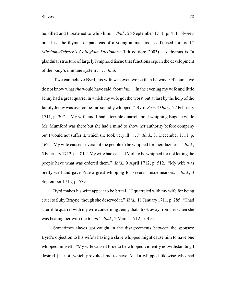he killed and threatened to whip him." *Ibid.*, 25 September 1711, p. 411. Sweetbread is "the thymus or pancreas of a young animal (as a calf) used for food." *Mirriam-Webster's Collegiate Dictionary* (llth edition; 2003). A thymus is "a glandular structure of largely lymphoid tissue that functions esp. in the development of the body's immune system . . . . *Ibid.*

If we can believe Byrd, his wife was even worse than he was. Of course we do not know what *she* would have said about *him*. "In the evening my wife and little Jenny had a great quarrel in which my wife got the worst but at last by the help of the family Jenny was overcome and soundly whipped." Byrd, *Secret Diary*, 27 February 1711, p. 307. "My wife and I had a terrible quarrel about whipping Eugene while Mr. Mumford was there but she had a mind to show her authority before company but I would not suffer it, which she took very ill . . . ." *Ibid.*, 31 December 1711, p. 462. "My wife caused several of the people to be whipped for their laziness." *Ibid.*, 5 February 1712, p. 481. "My wife had caused Moll to be whipped for not letting the people have what was ordered them." *Ibid.*, 9 April 1712, p. 512. "My wife was pretty well and gave Prue a great whipping for several misdemeanors." *Ibid.*, 3 September 1712, p. 579.

Byrd makes his wife appear to be brutal. "I quarreled with my wife for being cruel to Suky Brayne, though she deserved it." *Ibid.*, 11 January 1711, p. 285. "I had a terrible quarrel with my wife concerning Jenny that I took away from her when she was beating her with the tongs." *Ibid.*, 2 March 1712, p. 494.

Sometimes slaves got caught in the disagreements between the spouses: Byrd's objection to his wife's having a slave whipped might cause him to have one whipped himself. "My wife caused Prue to be whipped violently notwithstanding I desired [it] not, which provoked me to have Anaka whipped likewise who had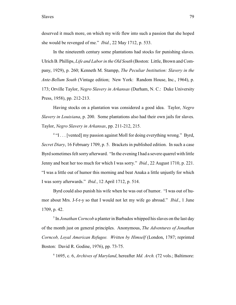deserved it much more, on which my wife flew into such a passion that she hoped she would be revenged of me." *Ibid.*, 22 May 1712, p. 533.

In the nineteenth century some plantations had stocks for punishing slaves. Ulrich B. Phillips, *Life and Labor in the Old South* (Boston: Little, Brown and Company, 1929), p. 260; Kenneth M. Stampp, *The Peculiar Institution: Slavery in the Ante-Bellum South* (Vintage edition; New York: Random House, Inc., 1964), p. 173; Orville Taylor, *Negro Slavery in Arkansas* (Durham, N. C.: Duke University Press, 1958), pp. 212-213.

Having stocks on a plantation was considered a good idea. Taylor, *Negro Slavery in Louisiana*, p. 200. Some plantations also had their own jails for slaves. Taylor, *Negro Slavery in Arkansas*, pp. 211-212, 215.

 $4$  "I . . . [vented] my passion against Moll for doing everything wrong." Byrd, *Secret Diary*, 16 February 1709, p. 5. Brackets in published edition. In such a case Byrd sometimes felt sorry afterward. "In the evening I had a severe quarrel with little Jenny and beat her too much for which I was sorry." *Ibid.*, 22 August 1710, p. 221. "I was a little out of humor this morning and beat Anaka a little unjustly for which I was sorry afterwards." *Ibid.*, 12 April 1712, p. 514.

Byrd could also punish his wife when he was out of humor. "I was out of humor about Mrs. J-f-r-y so that I would not let my wife go abroad." *Ibid.*, 1 June 1709, p. 42.

 $\frac{1}{2}$  In *Jonathan Corncob* a planter in Barbados whipped his slaves on the last day of the month just on general principles. Anonymous, *The Adventures of Jonathan Corncob, Loyal American Refugee. Written by Himself* (London, 1787; reprinted Boston: David R. Godine, 1976), pp. 73-75.

1695, c. 6, *Archives of Maryland*, hereafter *Md. Arch.* (72 vols.; Baltimore: <sup>6</sup>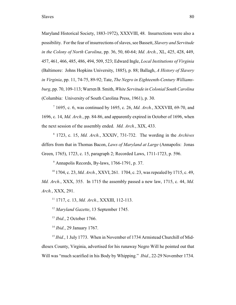Maryland Historical Society, 1883-1972), XXXVIII, 48. Insurrections were also a possibility. Forthe fear of insurrections of slaves, see Bassett, *Slavery and Servitude in the Colony of North Carolina*, pp. 36, 50, 60-64; *Md. Arch.*, XL, 425, 428, 449, 457, 461, 466, 485, 486, 494, 509, 523; Edward Ingle, *Local Institutions of Virginia* (Baltimore: Johns Hopkins University, 1885), p. 88; Ballagh, *A History of Slavery in Virginia*, pp. 11, 74-75, 89-92; Tate, *The Negro in Eighteenth-Century Williamsburg*, pp. 70, 109-113; Warren B. Smith, *White Servitude in Colonial South Carolina* (Columbia: University of South Carolina Press, 1961), p. 30.

 1695, c. 6, was continued by 1695, c. 26, *Md. Arch.*, XXXVIII, 69-70, and <sup>7</sup> 1696, c. 14, *Md. Arch.*, pp. 84-86, and apparently expired in October of 1696, when the next session of the assembly ended. *Md. Arch.*, XIX, 433.

1723, c. 15, *Md. Arch.*, XXXIV, 731-732. The wording in the *Archives* 8 differs from that in Thomas Bacon, *Laws of Maryland at Large* (Annapolis: Jonas Green, 1765), 1723, c. 15, paragraph 2; Recorded Laws, 1711-1723, p. 596.

 $^9$  Annapolis Records, By-laws, 1766-1791, p. 37.

<sup>10</sup> 1704, c. 23, *Md. Arch.*, XXVI, 261. 1704, c. 23, was repealed by 1715, c. 49, *Md. Arch.*, XXX, 355. In 1715 the assembly passed a new law, 1715, c. 44, *Md. Arch.*, XXX, 291.

<sup>11</sup> 1717, c. 13, *Md. Arch.*, XXXIII, 112-113.

<sup>12</sup> Maryland Gazette, 13 September 1745.

 $I<sup>13</sup>$  *Ibid.*, 2 October 1766.

 $I<sup>14</sup> Ibid., 29 January 1767.$ 

<sup>15</sup> Ibid., 1 July 1773. When in November of 1734 Armistead Churchill of Middlesex County, Virginia, advertised for his runaway Negro Will he pointed out that Will was "much scarified in his Body by Whipping." *Ibid.*, 22-29 November 1734.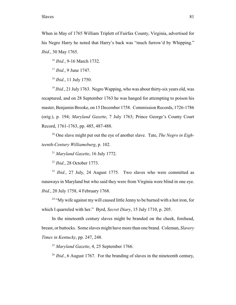When in May of 1765 William Triplett of Fairfax County, Virginia, advertised for his Negro Harry he noted that Harry's back was "much furrow'd by Whipping." *Ibid.*, 30 May 1765.

<sup>16</sup> *Ibid.*, 9-16 March 1732.

<sup>17</sup> *Ibid.*, 9 June 1747.

<sup>18</sup> *Ibid.*, 11 July 1750.

<sup>19</sup> Ibid., 21 July 1763. Negro Wapping, who was about thirty-six years old, was recaptured, and on 28 September 1763 he was hanged for attempting to poison his master, Benjamin Brooke, on 15 December 1758. Commission Records, 1726-1786 (orig.), p. 194; *Maryland Gazette*, 7 July 1763; Prince George's County Court Record, 1761-1763, pp. 485, 487-488.

<sup>20</sup> One slave might put out the eye of another slave. Tate, *The Negro in Eighteenth-Century Williamsburg*, p. 102.

<sup>21</sup> Maryland Gazette, 16 July 1772.

<sup>22</sup> *Ibid.*, 28 October 1773.

<sup>23</sup> *Ibid.*, 27 July, 24 August 1775. Two slaves who were committed as runaways in Maryland but who said they were from Virginia were blind in one eye. *Ibid.*, 20 July 1758, 4 February 1768.

 $24$  "My wife against my will caused little Jenny to be burned with a hot iron, for which I quarreled with her." Byrd, *Secret Diary*, 15 July 1710, p. 205.

In the nineteenth century slaves might be branded on the cheek, forehead, breast, or buttocks. Some slaves might have more than one brand. Coleman, *Slavery Times in Kentucky*, pp. 247, 248.

<sup>25</sup> Maryland Gazette, 4, 25 September 1766.

 $I<sup>26</sup> Ibid., 6 August 1767. For the branching of slaves in the nineteenth century,$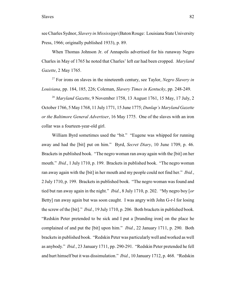see Charles Sydnor, *Slavery in Mississippi* (Baton Rouge: Louisiana State University Press, 1966; originally published 1933), p. 89.

When Thomas Johnson Jr. of Annapolis advertised for his runaway Negro Charles in May of 1765 he noted that Charles' left ear had been cropped. *Maryland Gazette*, 2 May 1765.

<sup>27</sup> For irons on slaves in the nineteenth century, see Taylor, *Negro Slavery in Louisiana*, pp. 184, 185, 226; Coleman, *Slavery Times in Kentucky*, pp. 248-249.

<sup>28</sup> Maryland Gazette, 9 November 1758, 13 August 1761, 15 May, 17 July, 2 October 1766, 5 May 1768, 11 July 1771, 15 June 1775; *Dunlap's Maryland Gazette or the Baltimore General Advertiser*, 16 May 1775. One of the slaves with an iron collar was a fourteen-year-old girl.

William Byrd sometimes used the "bit." "Eugene was whipped for running away and had the [bit] put on him." Byrd, *Secret Diary*, 10 June 1709, p. 46. Brackets in published book. "The negro woman ran away again with the [bit] on her mouth." *Ibid.*, 1 July 1710, p. 199. Brackets in published book. "The negro woman ran away again with the [bit] in her mouth and my people could not find her." *Ibid.*, 2 July 1710, p. 199. Brackets in published book. "The negro woman was found and tied but ran away again in the night." *Ibid.*, 8 July 1710, p. 202. "My negro boy [*or* Betty] ran away again but was soon caught. I was angry with John G-r-l for losing the screw of the [bit]." *Ibid.*, 19 July 1710, p. 206. Both brackets in published book. "Redskin Peter pretended to be sick and I put a [branding iron] on the place he complained of and put the [bit] upon him." *Ibid.*, 22 January 1711, p. 290. Both brackets in published book. "Redskin Peter was particularly well and worked as well as anybody." *Ibid.*, 23 January 1711, pp. 290-291. "Redskin Peter pretended he fell and hurt himself but it was dissimulation." *Ibid.*, 10 January 1712, p. 468. "Redskin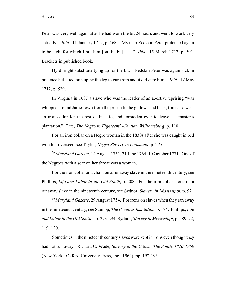Peter was very well again after he had worn the bit 24 hours and went to work very actively." *Ibid.*, 11 January 1712, p. 468. "My man Redskin Peter pretended again to be sick, for which I put him [on the bit]. . . ." *Ibid.*, 15 March 1712, p. 501. Brackets in published book.

Byrd might substitute tying up for the bit. "Redskin Peter was again sick in pretence but I tied him up by the leg to cure him and it did cure him." *Ibid.*, 12 May 1712, p. 529.

In Virginia in 1687 a slave who was the leader of an abortive uprising "was whipped around Jamestown from the prison to the gallows and back, forced to wear an iron collar for the rest of his life, and forbidden ever to leave his master's plantation." Tate, *The Negro in Eighteenth-Century Williamsburg*, p. 110.

For an iron collar on a Negro woman in the 1830s after she was caught in bed with her overseer, see Taylor, *Negro Slavery in Louisiana*, p. 225.

<sup>29</sup> Maryland Gazette, 14 August 1751, 21 June 1764, 10 October 1771. One of the Negroes with a scar on her throat was a woman.

For the iron collar and chain on a runaway slave in the nineteenth century, see Phillips, *Life and Labor in the Old South*, p. 208. For the iron collar alone on a runaway slave in the nineteenth century, see Sydnor, *Slavery in Mississippi*, p. 92.

<sup>30</sup> Maryland Gazette, 29 August 1754. For irons on slaves when they ran away in the nineteenth century, see Stampp, *The Peculiar Institution*, p. 174; Phillips, *Life and Labor in the Old South*, pp. 293-294; Sydnor, *Slavery in Mississippi*, pp. 89, 92, 119, 120.

Sometimes in the nineteenth century slaves were kept in irons even though they had not run away. Richard C. Wade, *Slavery in the Cities: The South, 1820-1860* (New York: Oxford University Press, Inc., 1964), pp. 192-193.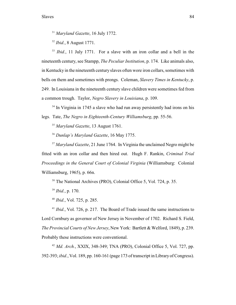<sup>31</sup> Maryland Gazette, 16 July 1772.

<sup>32</sup> *Ibid.*, 8 August 1771.

 $I<sup>33</sup> Ibid., 11 July 1771. For a slave with an iron collar and a bell in the  $33 \cdot 16i$$ nineteenth century, see Stampp, *The Peculiar Institution*, p. 174. Like animals also, in Kentucky in the nineteenth century slaves often wore iron collars, sometimes with bells on them and sometimes with prongs. Coleman, *Slavery Times in Kentucky*, p. 249. In Louisiana in the nineteenth century slave children were sometimes fed from a common trough. Taylor, *Negro Slavery in Louisiana*, p. 109.

 $34$  In Virginia in 1745 a slave who had run away persistently had irons on his legs. Tate, *The Negro in Eighteenth-Century Williamsburg*, pp. 55-56.

<sup>35</sup> Maryland Gazette, 13 August 1761.

<sup>36</sup> Dunlap's Maryland Gazette, 16 May 1775.

<sup>37</sup> Maryland Gazette, 21 June 1764. In Virginia the unclaimed Negro might be fitted with an iron collar and then hired out. Hugh F. Rankin, *Criminal Trial Proceedings in the General Court of Colonial Virginia* (Williamsburg: Colonial Williamsburg, 1965), p. 66n.

<sup>38</sup> The National Archives (PRO), Colonial Office 5, Vol. 724, p. 35.

<sup>39</sup> *Ibid.*, p. 170.

<sup>40</sup> *Ibid.*, Vol. 725, p. 285.

 $I<sup>1</sup> Ibid., Vol. 726, p. 217. The Board of Trade issued the same instructions to$ Lord Cornbury as governor of New Jersey in November of 1702. Richard S. Field, *The Provincial Courts of New Jersey*, New York: Bartlett & Welford, 1849), p. 239. Probably these instructions were conventional.

 $42$  *Md. Arch.*, XXIX, 348-349; TNA (PRO), Colonial Office 5, Vol. 727, pp. 392-393; *ibid.*, Vol. 189, pp. 160-161 (page 173 of transcript in Library of Congress).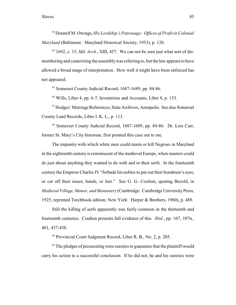Donnell M. Owings, *His Lordship's Patronage: Offices of Profit in Colonial* <sup>43</sup> *Maryland* (Baltimore: Maryland Historical Society, 1953), p. 120.

<sup>44</sup> 1692, c. 15, *Md. Arch.*, XIII, 457. We can not be sure just what sort of dismembering and cauterizing the assembly was referring to, but the law appears to have allowed a broad range of interpretation. How well it might have been enforced has not appeared.

 $45$  Somerset County Judicial Record, 1687-1689, pp. 84-86.

 $46$  Wills, Liber 4, pp. 6-7; Inventories and Accounts, Liber 8, p. 153.

<sup>47</sup> Hodges' Marriage References, State Archives, Annapolis. See also Somerset County Land Records, Liber I. K. L., p. 113.

<sup>48</sup> Somerset County Judicial Record, 1687-1689, pp. 84-86. Dr. Lois Carr, former St. Mary's City historian, first pointed this case out to me.

The impunity with which white men could maim or kill Negroes in Maryland in the eighteenth century is reminiscent of the medieval Europe, when masters could do just about anything they wanted to do with and to their serfs. In the fourteenth century the Emperor Charles IV "forbade his nobles to put out their bondmen's eyes, or cut off their noses, hands, or feet." See G. G. Coulton, quoting Bezold, in *Medieval Village, Manor, and Monastery* (Cambridge: Cambridge University Press, 1925; reprinted Torchbook edition; New York: Harper & Brothers, 1960), p. 489.

Still the killing of serfs apparently was fairly common in the thirteenth and fourteenth centuries. Coulton presents full evidence of this. *Ibid.*, pp. 107, 107n., 401, 437-438.

 $49$  Provincial Court Judgment Record, Liber R. B., No. 2, p. 205.

 $50$  The pledges of prosecuting were sureties to guarantee that the plaintiff would carry his action to a successful conclusion. If he did not, he and his sureties were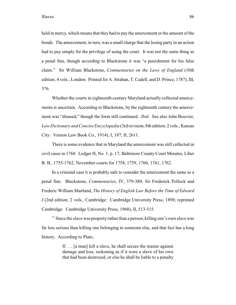held in mercy, which means that they had to pay the amercement or the amount of the bonds. The amercement, in turn, was a small charge that the losing party in an action had to pay simply for the privilege of using the court. It was not the same thing as a penal fine, though according to Blackstone it was "a punishment for his false claim." Sir William Blackstone, *Commentaries on the Laws of England* (10th edition; 4 vols.; London: Printed for A. Strahan, T. Cadell, and D. Prince, 1787), III, 376.

Whether the courts in eighteenth-century Maryland actually collected amercements is uncertain. According to Blackstone, by the eighteenth century the amercement was "disused," though the form still continued. *Ibid.* See also John Bouvier, *Law Dictionary and Concise Encyclopedia* (3rd revision; 8th edition; 2 vols.; Kansas City: Vernon Law Book Co., 1914), I, 187; II, 2611.

There is some evidence that in Maryland the amercement was still collected in civil cases in 1768. Ledger H, No. 1, p. 17; Baltimore County Court Minutes, Liber B. B., 1755-1762, November courts for 1758, 1759, 1760, 1761, 1762.

In a criminal case it is probably safe to consider the amercement the same as a penal fine. Blackstone, *Commentaries*, IV, 379-380; Sir Frederick Pollock and Frederic William Maitland, *The History of English Law Before the Time of Edward I* (2nd edition; 2 vols.; Cambridge: Cambridge University Press, 1898; reprinted Cambridge: Cambridge University Press, 1968), II, 513-515.

 $51$  Since the slave was property rather than a person, killing one's own slave was far less serious than killing one belonging to someone else, and that fact has a long history. According to Plato,

> If . . . [a man] kill a slave, he shall secure the master against damage and loss, reckoning as if it were a slave of his own that had been destroyed, or else he shall be liable to a penalty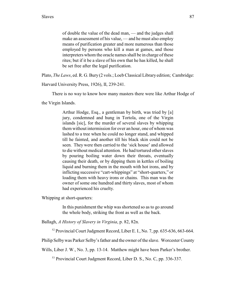of double the value of the dead man, — and the judges shall make an assessment of his value, — and he must also employ means of purification greater and more numerous than those employed by persons who kill a man at games, and those interpreters whom the oracle names shall be in charge of these rites; but if it be a slave of his own that he has killed, he shall be set free after the legal purification.

Plato, *The Laws*, ed. R. G. Bury (2 vols.; Loeb Classical Library edition; Cambridge:

Harvard University Press, 1926), II, 239-241.

There is no way to know how many masters there were like Arthur Hodge of

the Virgin Islands.

Arthur Hodge, Esq., a gentleman by birth, was tried by [a] jury, condemned and hung in Tortola, one of the Virgin islands [sic], for the murder of several slaves by whipping them without intermission for over an hour, one of whom was lashed to a tree when he could no longer stand, and whipped till he fainted, and another till his black skin could not be seen. They were then carried to the 'sick house' and allowed to die without medical attention. He had tortured other slaves by pouring boiling water down their throats, eventually causing their death, or by dipping them in kettles of boiling liquid and burning them in the mouth with hot irons, and by inflicting successive "cart-whippings" at "short-quarters," or loading them with heavy irons or chains. This man was the owner of some one hundred and thirty slaves, most of whom had experienced his cruelty.

Whipping at short-quarters:

In this punishment the whip was shortened so as to go around the whole body, striking the front as well as the back.

Ballagh, *A History of Slavery in Virginia*, p. 82, 82n.

 $52$  Provincial Court Judgment Record, Liber E. I., No. 7, pp. 635-636, 663-664.

Philip Selby was Parker Selby's father and the owner of the slave. Worcester County

Wills, Liber J. W., No. 3, pp. 13-14. Matthew might have been Parker's brother.

<sup>53</sup> Provincial Court Judgment Record, Liber D. S., No. C, pp. 336-337.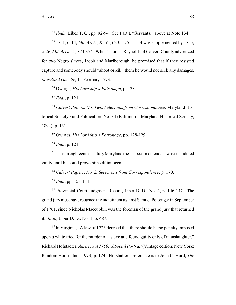$I<sup>54</sup> Ibid., Liber T. G., pp. 92-94. See Part I, "Servants," above at Note 134.$ 

<sup>55</sup> 1751, c. 14, *Md. Arch.*, XLVI, 620. 1751, c. 14 was supplemented by 1753, c. 26, *Md. Arch.*, L, 373-374. When Thomas Reynolds of Calvert County advertized for two Negro slaves, Jacob and Marlborough, he promised that if they resisted capture and somebody should "shoot or kill" them he would not seek any damages. *Maryland Gazette*, 11 February 1773.

<sup>56</sup> Owings, *His Lordship's Patronage*, p. 128.

 $^{57}$  *Ibid.*, p. 121.

<sup>58</sup> Calvert Papers, No. Two, Selections from Correspondence, Maryland Historical Society Fund Publication, No. 34 (Baltimore: Maryland Historical Society, 1894), p. 131.

<sup>59</sup> Owings, *His Lordship's Patronage*, pp. 128-129.

 $^{60}$  *Ibid.*, p. 121.

 $61$  Thus in eighteenth-century Maryland the suspect or defendant was considered guilty until he could prove himself innocent.

<sup>62</sup> Calvert Papers, No. 2, Selections from Correspondence, p. 170.

 $^{63}$  *Ibid.*, pp. 153-154.

 $64$  Provincial Court Judgment Record, Liber D. D., No. 4, p. 146-147. The grand jurymust have returned the indictment against Samuel Pottenger in September of 1761, since Nicholas Maccubbin was the foreman of the grand jury that returned it. *Ibid.*, Liber D. D., No. 1, p. 487.

 $<sup>65</sup>$  In Virginia, "A law of 1723 decreed that there should be no penalty imposed</sup> upon a white tried for the murder of a slave and found guilty only of manslaughter." Richard Hofstadter, *America at 1750: A Social Portrait* (Vintage edition; New York: Random House, Inc., 1973) p. 124. Hofstadter's reference is to John C. Hurd, *The*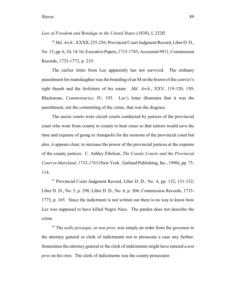*Law of Freedom and Bondage in the United States* (1838), I, 232ff.

*Md. Arch.*, XXXII, 255-256; Provincial Court Judgment Record, Liber D. D., 66 No. 15, pp. 6, 10, 14-16; Executive Papers, 1715-1783, Accession 9911; Commission Records, 1733-1773, p. 219.

The earlier letter from Lee apparently has not survived. The ordinary punishment for manslaughter was the branding of an M on the brawn of the convict's right thumb and the forfeiture of his estate. *Md. Arch.*, XXV, 119-120, 150; Blackstone, *Commentaries*, IV, 193. Lee's letter illustrates that it was the punishment, not the committing of the crime, that was the disgrace.

The assize courts were circuit courts conducted by justices of the provincial court who went from county to county to hear cases so that suitors would save the time and expense of going to Annapolis for the sessions of the provincial court but also, it appears clear, to increase the power of the provincial justices at the expense of the county justices. C. Ashley Ellefson, *The County Courts and the Provincial Court in Maryland, 1733-1763* (New York: Garland Publishing, Inc., 1990), pp. 73- 114.

 $67$  Provincial Court Judgment Record, Liber D. D., No. 4, pp. 132, 151-152; Liber D. D., No. 5, p. 298; Liber D. D., No. 6, p. 306; Commission Records, 1733- 1773, p. 165. Since the indictment is not written out there is no way to know how Lee was supposed to have killed Negro Nace. The pardon does not describe the crime.

<sup>68</sup> The *nolle prosequi*, or *non pros*, was simply an order from the governor to the attorney general or clerk of indictments not to prosecute a case any further. Sometimes the attorney general or the clerk of indictments might have entered a *non pros* on his own. The clerk of indictments was the county prosecutor.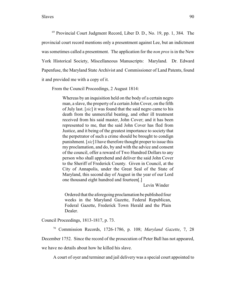$^{69}$  Provincial Court Judgment Record, Liber D. D., No. 19, pp. 1, 384. The provincial court record mentions only a presentment against Lee, but an indictment was sometimes called a presentment. The application for the *non pros* is in the New York Historical Society, Miscellaneous Manuscripts: Maryland. Dr. Edward Papenfuse, the Maryland State Archivist and Commissioner of Land Patents, found it and provided me with a copy of it.

From the Council Proceedings, 2 August 1814:

Whereas by an inquisition held on the body of a certain negro man, a slave, the property of a certain John Cover, on the fifth of July last. [*sic*] it was found that the said negro came to his death from the unmerciful beating, and other ill treatment received from his said master, John Cover; and it has been represented to me, that the said John Cover has fled from Justice, and it being of the greatest importance to society that the perpetrator of such a crime should be brought to condign punishment. [*sic*] I have therefore thought proper to issue this my proclamation, and do, by and with the advice and consent of the council, offer a reward of Two Hundred Dollars to any person who shall apprehend and deliver the said John Cover to the Sheriff of Frederick County. Given in Council, at the City of Annapolis, under the Great Seal of the State of Maryland, this second day of August in the year of our Lord one thousand eight hundred and fourteen[.]

Levin Winder

Ordered that the aforegoing proclamation be published four weeks in the Maryland Gazette, Federal Republican, Federal Gazette, Frederick Town Herald and the Plain Dealer.

Council Proceedings, 1813-1817, p. 73.

<sup>70</sup> Commission Records, 1726-1786, p. 108; *Maryland Gazette*, 7, 28

December 1752. Since the record of the prosecution of Peter Ball has not appeared,

we have no details about how he killed his slave.

A court of oyer and terminer and jail delivery was a special court appointed to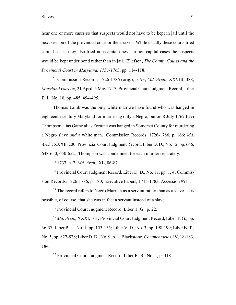hear one or more cases so that suspects would not have to be kept in jail until the next session of the provincial court or the assizes. While usually these courts tried capital cases, they also tried non-capital ones. In non-capital cases the suspects would be kept under bond rather than in jail. Ellefson, *The County Courts and the Provincial Court in Maryland, 1733-1763*, pp. 114-118.

 Commission Records, 1726-1786 (orig.), p. 93; *Md. Arch.*, XXVIII, 388; <sup>71</sup> *Maryland Gazette*, 21 April, 5 May 1747; Provincial Court Judgment Record, Liber E. I., No. 10, pp. 485, 494-495.

Thomas Lamb was the only white man we have found who was hanged in eighteenth-century Maryland for murdering only a Negro, but on 8 July 1767 Levi Thompson alias Game alias Fortune was hanged in Somerset County for murdering a Negro slave *and* a white man. Commission Records, 1726-1786, p. 166; *Md. Arch.*, XXXII, 200; Provincial Court Judgment Record, Liber D. D., No. 12, pp. 646, 648-650, 650-652. Thompson was condemned for each murder separately.

<sup>72</sup> 1737, c. 2, *Md. Arch.*, XL, 86-87.

 $^{73}$  Provincial Court Judgment Record, Liber D. D., No. 17, pp. 1, 4; Commission Records, 1726-1786, p. 180; Executive Papers, 1715-1783, Accession 9911.

 $74$  The record refers to Negro Marriah as a servant rather than as a slave. It is possible, of course, that she was in fact a servant instead of a slave.

 $<sup>75</sup>$  Provincial Court Judgment Record, Liber T. G., p. 22.</sup>

<sup>76</sup> Md. Arch., XXXI, 101; Provincial Court Judgment Record, Liber T. G., pp. 36-37; Liber P. L., No. 1, pp. 153-155; Liber V. D., No. 3, pp. 198-199; Liber B. T., No. 5, pp. 827-828; Liber D. D., No. 9, p. 1; Blackstone, *Commentaries*, IV, 18-183, 184.

 $^{77}$  Provincial Court Judgment Record, Liber R. B., No. 1, p. 318.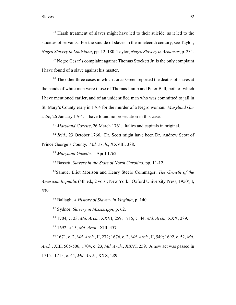## Slaves 92

 $78$  Harsh treatment of slaves might have led to their suicide, as it led to the suicides of servants. For the suicide of slaves in the nineteenth century, see Taylor, *Negro Slavery in Louisiana*, pp. 12, 180; Taylor, *Negro Slavery in Arkansas*, p. 231.

 $\frac{79}{2}$  Negro Cesar's complaint against Thomas Stockett Jr. is the only complaint I have found of a slave against his master.

 $80$  The other three cases in which Jonas Green reported the deaths of slaves at the hands of white men were those of Thomas Lamb and Peter Ball, both of which I have mentioned earlier, and of an unidentified man who was committed to jail in St. Mary's County early in 1764 for the murder of a Negro woman. *Maryland Gazette*, 26 January 1764. I have found no prosecution in this case.

<sup>81</sup> Maryland Gazette, 26 March 1761. Italics and capitals in original.

<sup>82</sup> Ibid., 23 October 1766. Dr. Scott might have been Dr. Andrew Scott of Prince George's County. *Md. Arch.*, XXVIII, 388.

<sup>83</sup> Maryland Gazette, 1 April 1762.

<sup>84</sup> Bassett, *Slavery in the State of North Carolina*, pp. 11-12.

<sup>85</sup>Samuel Eliot Morison and Henry Steele Commager, *The Growth of the American Republic* (4th ed.; 2 vols.; New York: Oxford University Press, 1950), I, 539.

<sup>86</sup> Ballagh, *A History of Slavery in Virginia*, p. 140.

<sup>87</sup> Sydnor, *Slavery in Mississippi*, p. 62.

<sup>88</sup> 1704, c. 23, *Md. Arch.*, XXVI, 259; 1715, c. 44, *Md. Arch.*, XXX, 289.

<sup>89</sup> 1692, c.15, *Md. Arch.*, XIII, 457.

<sup>90</sup> 1671, c. 2, *Md. Arch.*, II, 272; 1676, c. 2, *Md. Arch.*, II, 549; 1692, c. 52, *Md. Arch.*, XIII, 505-506; 1704, c. 23, *Md. Arch.*, XXVI, 259. A new act was passed in 1715. 1715, c. 44, *Md. Arch.*, XXX, 289.